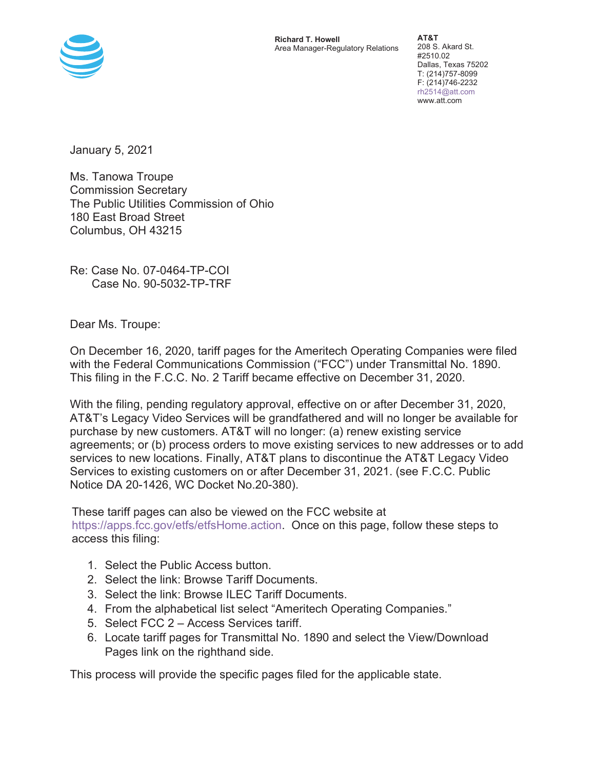

**Richard T. Howell** Area Manager-Regulatory Relations

**AT&T**  208 S. Akard St. #2510.02 Dallas, Texas 75202 T: (214)757-8099 F: (214)746-2232 rh2514@att.com www.att.com

January 5, 2021

Ms. Tanowa Troupe Commission Secretary The Public Utilities Commission of Ohio 180 East Broad Street Columbus, OH 43215

Re: Case No. 07-0464-TP-COI Case No. 90-5032-TP-TRF

Dear Ms. Troupe:

On December 16, 2020, tariff pages for the Ameritech Operating Companies were filed with the Federal Communications Commission ("FCC") under Transmittal No. 1890. This filing in the F.C.C. No. 2 Tariff became effective on December 31, 2020.

With the filing, pending regulatory approval, effective on or after December 31, 2020, AT&T's Legacy Video Services will be grandfathered and will no longer be available for purchase by new customers. AT&T will no longer: (a) renew existing service agreements; or (b) process orders to move existing services to new addresses or to add services to new locations. Finally, AT&T plans to discontinue the AT&T Legacy Video Services to existing customers on or after December 31, 2021. (see F.C.C. Public Notice DA 20-1426, WC Docket No.20-380).

These tariff pages can also be viewed on the FCC website at

https://apps.fcc.gov/etfs/etfsHome.action. Once on this page, follow these steps to access this filing:

- 1. Select the Public Access button.
- 2. Select the link: Browse Tariff Documents.
- 3. Select the link: Browse ILEC Tariff Documents.
- 4. From the alphabetical list select "Ameritech Operating Companies."
- 5. Select FCC 2 Access Services tariff.
- 6. Locate tariff pages for Transmittal No. 1890 and select the View/Download Pages link on the righthand side.

This process will provide the specific pages filed for the applicable state.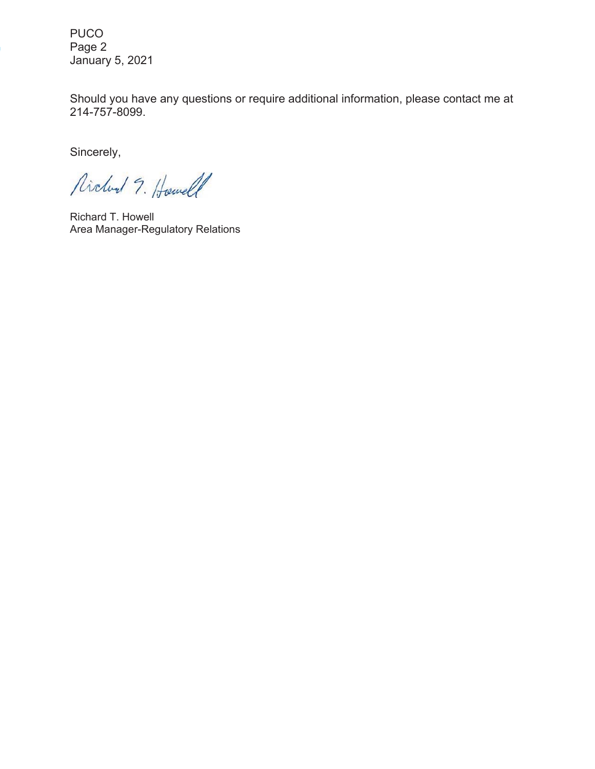PUCO Page 2 January 5, 2021

Should you have any questions or require additional information, please contact me at 214-757-8099.

Sincerely,

Richard 9. Howell

Richard T. Howell Area Manager-Regulatory Relations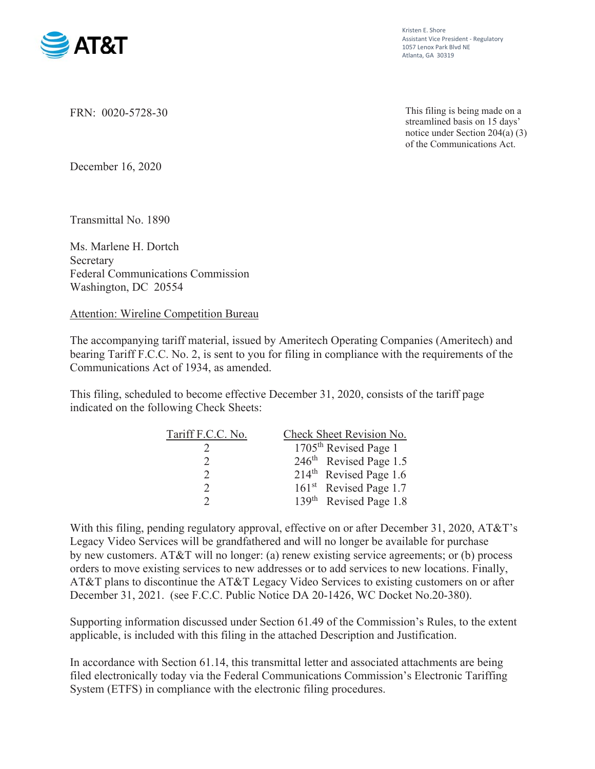

Kristen E. Shore Assistant Vice President - Regulatory 1057 Lenox Park Blvd NE Atlanta, GA 30319

FRN: 0020-5728-30

This filing is being made on a streamlined basis on 15 days' notice under Section 204(a) (3) of the Communications Act.

December 16, 2020

Transmittal No. 1890

Ms. Marlene H. Dortch **Secretary** Federal Communications Commission Washington, DC 20554

# Attention: Wireline Competition Bureau

The accompanying tariff material, issued by Ameritech Operating Companies (Ameritech) and bearing Tariff F.C.C. No. 2, is sent to you for filing in compliance with the requirements of the Communications Act of 1934, as amended.

This filing, scheduled to become effective December 31, 2020, consists of the tariff page indicated on the following Check Sheets:

| Tariff F.C.C. No. | Check Sheet Revision No.           |
|-------------------|------------------------------------|
|                   | 1705 <sup>th</sup> Revised Page 1  |
|                   | 246 <sup>th</sup> Revised Page 1.5 |
| $\mathcal{D}$     | $214th$ Revised Page 1.6           |
| $\mathcal{D}$     | 161 <sup>st</sup> Revised Page 1.7 |
|                   | 139 <sup>th</sup> Revised Page 1.8 |

With this filing, pending regulatory approval, effective on or after December 31, 2020, AT&T's Legacy Video Services will be grandfathered and will no longer be available for purchase by new customers. AT&T will no longer: (a) renew existing service agreements; or (b) process orders to move existing services to new addresses or to add services to new locations. Finally, AT&T plans to discontinue the AT&T Legacy Video Services to existing customers on or after December 31, 2021. (see F.C.C. Public Notice DA 20-1426, WC Docket No.20-380).

Supporting information discussed under Section 61.49 of the Commission's Rules, to the extent applicable, is included with this filing in the attached Description and Justification.

In accordance with Section 61.14, this transmittal letter and associated attachments are being filed electronically today via the Federal Communications Commission's Electronic Tariffing System (ETFS) in compliance with the electronic filing procedures.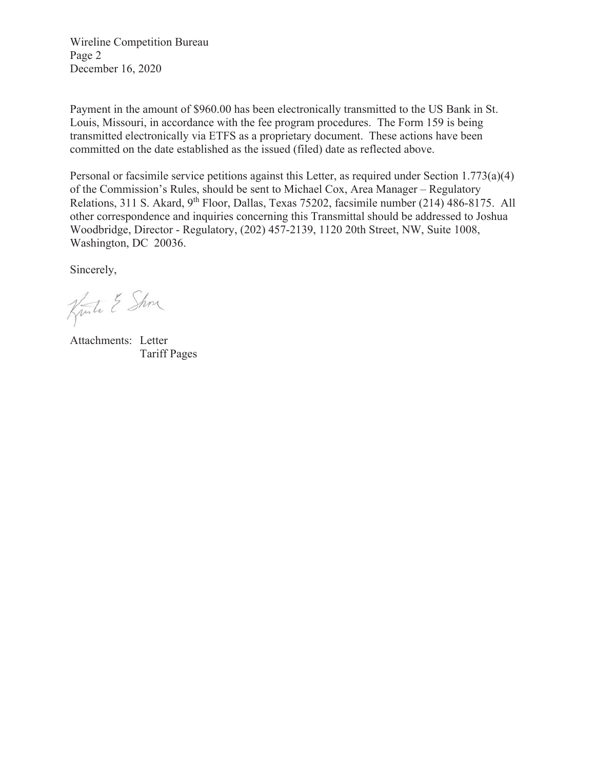Wireline Competition Bureau Page 2 December 16, 2020

Payment in the amount of \$960.00 has been electronically transmitted to the US Bank in St. Louis, Missouri, in accordance with the fee program procedures. The Form 159 is being transmitted electronically via ETFS as a proprietary document. These actions have been committed on the date established as the issued (filed) date as reflected above.

Personal or facsimile service petitions against this Letter, as required under Section 1.773(a)(4) of the Commission's Rules, should be sent to Michael Cox, Area Manager – Regulatory Relations, 311 S. Akard, 9<sup>th</sup> Floor, Dallas, Texas 75202, facsimile number (214) 486-8175. All other correspondence and inquiries concerning this Transmittal should be addressed to Joshua Woodbridge, Director - Regulatory, (202) 457-2139, 1120 20th Street, NW, Suite 1008, Washington, DC 20036.

Sincerely,

Kunte & Show

Attachments: Letter Tariff Pages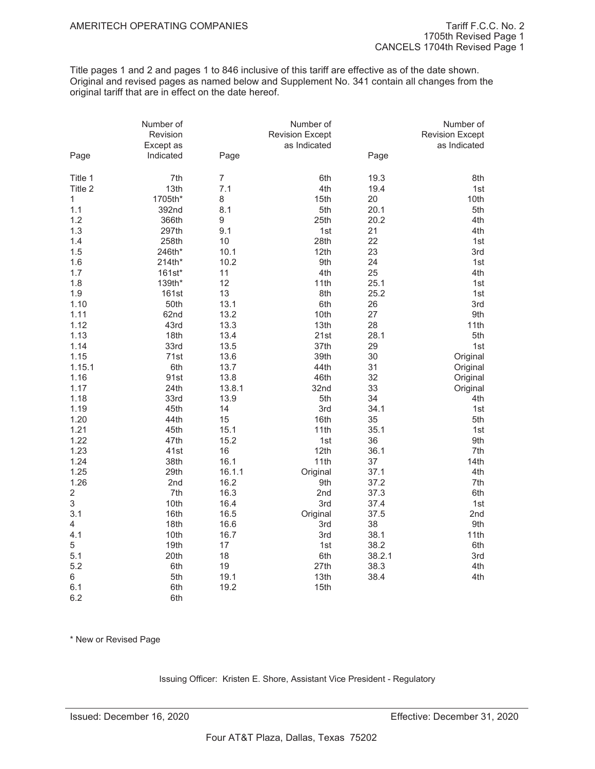Title pages 1 and 2 and pages 1 to 846 inclusive of this tariff are effective as of the date shown. Original and revised pages as named below and Supplement No. 341 contain all changes from the original tariff that are in effect on the date hereof.

|                         | Number of<br>Revision<br>Except as |                | Number of<br><b>Revision Except</b><br>as Indicated |        | Number of<br><b>Revision Except</b><br>as Indicated |
|-------------------------|------------------------------------|----------------|-----------------------------------------------------|--------|-----------------------------------------------------|
| Page                    | Indicated                          | Page           |                                                     | Page   |                                                     |
| Title 1                 | 7th                                | $\overline{7}$ | 6th                                                 | 19.3   | 8th                                                 |
| Title 2                 | 13th                               | 7.1            | 4th                                                 | 19.4   | 1st                                                 |
| 1                       | 1705th*                            | 8              | 15th                                                | 20     | 10th                                                |
| 1.1                     | 392nd                              | 8.1            | 5th                                                 | 20.1   | 5th                                                 |
| 1.2                     | 366th                              | 9              | 25th                                                | 20.2   | 4th                                                 |
| 1.3                     | 297th                              | 9.1            | 1st                                                 | 21     | 4th                                                 |
| 1.4                     | 258th                              | 10             | 28th                                                | 22     | 1st                                                 |
| 1.5                     | 246th*                             | 10.1           | 12th                                                | 23     | 3rd                                                 |
| 1.6                     | 214th*                             | 10.2           | 9th                                                 | 24     | 1st                                                 |
| 1.7                     | 161st*                             | 11             | 4th                                                 | 25     | 4th                                                 |
| 1.8                     | 139th*                             | 12             | 11th                                                | 25.1   | 1st                                                 |
| 1.9                     | 161st                              | 13             | 8th                                                 | 25.2   | 1st                                                 |
| 1.10                    | 50th                               | 13.1           | 6th                                                 | 26     | 3rd                                                 |
| 1.11                    | 62nd                               | 13.2           | 10th                                                | 27     | 9th                                                 |
| 1.12                    | 43rd                               | 13.3           | 13th                                                | 28     | 11th                                                |
| 1.13                    | 18th                               | 13.4           | 21st                                                | 28.1   | 5th                                                 |
| 1.14                    | 33rd                               | 13.5           | 37th                                                | 29     | 1st                                                 |
| 1.15                    | 71st                               | 13.6           | 39th                                                | 30     | Original                                            |
| 1.15.1                  | 6th                                | 13.7           | 44th                                                | 31     | Original                                            |
| 1.16                    | 91st                               | 13.8           | 46th                                                | 32     | Original                                            |
| 1.17                    | 24th                               | 13.8.1         | 32nd                                                | 33     | Original                                            |
| 1.18                    | 33rd                               | 13.9           | 5th                                                 | 34     | 4th                                                 |
| 1.19                    | 45th                               | 14             | 3rd                                                 | 34.1   | 1st                                                 |
| 1.20                    | 44th                               | 15             | 16th                                                | 35     | 5th                                                 |
| 1.21                    | 45th                               | 15.1           | 11th                                                | 35.1   | 1st                                                 |
| 1.22                    | 47th                               | 15.2           | 1st                                                 | 36     | 9th                                                 |
| 1.23                    | 41st                               | 16             | 12th                                                | 36.1   | 7th                                                 |
| 1.24                    | 38th                               | 16.1           | 11th                                                | 37     | 14th                                                |
| 1.25                    | 29th                               | 16.1.1         | Original                                            | 37.1   | 4th                                                 |
| 1.26                    | 2nd                                | 16.2           | 9th                                                 | 37.2   | 7th                                                 |
| $\overline{\mathbf{c}}$ | 7th                                | 16.3           | 2nd                                                 | 37.3   | 6th                                                 |
| 3                       | 10th                               | 16.4           | 3rd                                                 | 37.4   | 1st                                                 |
| 3.1                     | 16th                               | 16.5           | Original                                            | 37.5   | 2nd                                                 |
| 4                       | 18th                               | 16.6           | 3rd                                                 | 38     | 9th                                                 |
| 4.1                     | 10th                               | 16.7           | 3rd                                                 | 38.1   | 11th                                                |
| 5                       | 19th                               | 17             | 1st                                                 | 38.2   | 6th                                                 |
| 5.1                     | 20th                               | 18             | 6th                                                 | 38.2.1 | 3rd                                                 |
| 5.2                     | 6th                                | 19             | 27th                                                | 38.3   | 4th                                                 |
| 6                       | 5th                                | 19.1           | 13th                                                | 38.4   | 4th                                                 |
| 6.1                     | 6th                                | 19.2           | 15th                                                |        |                                                     |

\* New or Revised Page

6.2 6th

Issuing Officer: Kristen E. Shore, Assistant Vice President - Regulatory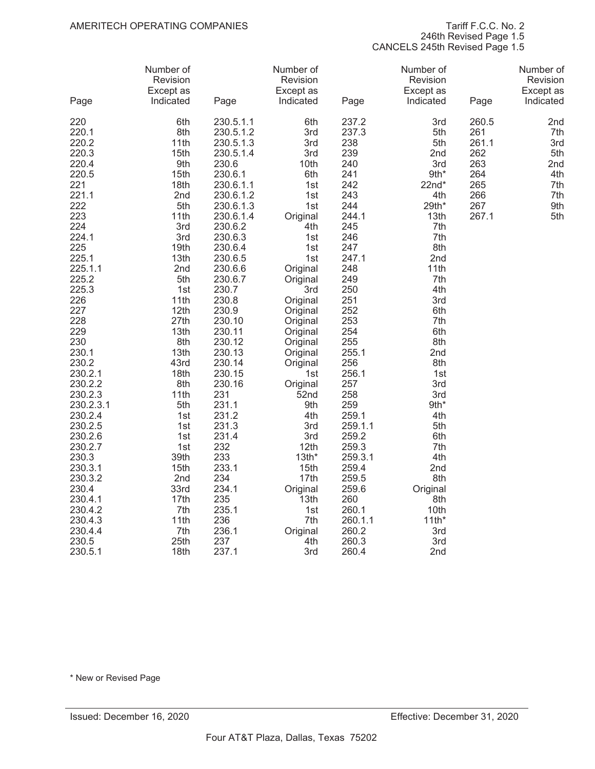246th Revised Page 1.5

CANCELS 245th Revised Page 1.5

| Page             | Number of<br>Revision<br>Except as<br>Indicated | Page             | Number of<br>Revision<br>Except as<br>Indicated | Page             | Number of<br>Revision<br>Except as<br>Indicated | Page       | Number of<br>Revision<br>Except as<br>Indicated |
|------------------|-------------------------------------------------|------------------|-------------------------------------------------|------------------|-------------------------------------------------|------------|-------------------------------------------------|
|                  |                                                 |                  |                                                 |                  |                                                 |            |                                                 |
| 220              | 6th                                             | 230.5.1.1        | 6th                                             | 237.2            | 3rd                                             | 260.5      | 2nd                                             |
| 220.1            | 8th                                             | 230.5.1.2        | 3rd                                             | 237.3            | 5th                                             | 261        | 7th                                             |
| 220.2            | 11th                                            | 230.5.1.3        | 3rd                                             | 238              | 5th                                             | 261.1      | 3rd                                             |
| 220.3            | 15th                                            | 230.5.1.4        | 3rd                                             | 239              | 2nd                                             | 262        | 5th                                             |
| 220.4<br>220.5   | 9th<br>15th                                     | 230.6<br>230.6.1 | 10th<br>6th                                     | 240<br>241       | 3rd<br>9th*                                     | 263<br>264 | 2nd<br>4th                                      |
| 221              | 18th                                            | 230.6.1.1        | 1st                                             | 242              | $22nd*$                                         | 265        | 7th                                             |
| 221.1            | 2nd                                             | 230.6.1.2        | 1st                                             | 243              | 4th                                             | 266        | 7th                                             |
| 222              | 5th                                             | 230.6.1.3        | 1st                                             | 244              | 29th*                                           | 267        | 9th                                             |
| 223              | 11th                                            | 230.6.1.4        | Original                                        | 244.1            | 13th                                            | 267.1      | 5th                                             |
| 224              | 3rd                                             | 230.6.2          | 4th                                             | 245              | 7th                                             |            |                                                 |
| 224.1            | 3rd                                             | 230.6.3          | 1st                                             | 246              | 7th                                             |            |                                                 |
| 225              | 19th                                            | 230.6.4          | 1st                                             | 247              | 8th                                             |            |                                                 |
| 225.1            | 13th                                            | 230.6.5          | 1st                                             | 247.1            | 2nd                                             |            |                                                 |
| 225.1.1          | 2nd                                             | 230.6.6          | Original                                        | 248              | 11th                                            |            |                                                 |
| 225.2            | 5th                                             | 230.6.7          | Original                                        | 249              | 7th                                             |            |                                                 |
| 225.3            | 1st                                             | 230.7            | 3rd                                             | 250              | 4th                                             |            |                                                 |
| 226              | 11th                                            | 230.8            | Original                                        | 251              | 3rd                                             |            |                                                 |
| 227<br>228       | 12th<br>27th                                    | 230.9<br>230.10  | Original<br>Original                            | 252<br>253       | 6th<br>7th                                      |            |                                                 |
| 229              | 13th                                            | 230.11           | Original                                        | 254              | 6th                                             |            |                                                 |
| 230              | 8th                                             | 230.12           | Original                                        | 255              | 8th                                             |            |                                                 |
| 230.1            | 13th                                            | 230.13           | Original                                        | 255.1            | 2nd                                             |            |                                                 |
| 230.2            | 43rd                                            | 230.14           | Original                                        | 256              | 8th                                             |            |                                                 |
| 230.2.1          | 18th                                            | 230.15           | 1st                                             | 256.1            | 1st                                             |            |                                                 |
| 230.2.2          | 8th                                             | 230.16           | Original                                        | 257              | 3rd                                             |            |                                                 |
| 230.2.3          | 11th                                            | 231              | 52nd                                            | 258              | 3rd                                             |            |                                                 |
| 230.2.3.1        | 5th                                             | 231.1            | 9th                                             | 259              | 9th*                                            |            |                                                 |
| 230.2.4          | 1st                                             | 231.2            | 4th                                             | 259.1            | 4th                                             |            |                                                 |
| 230.2.5          | 1st                                             | 231.3            | 3rd                                             | 259.1.1          | 5th                                             |            |                                                 |
| 230.2.6          | 1st                                             | 231.4            | 3rd                                             | 259.2            | 6th                                             |            |                                                 |
| 230.2.7          | 1st                                             | 232              | 12th                                            | 259.3            | 7th                                             |            |                                                 |
| 230.3<br>230.3.1 | 39th<br>15 <sub>th</sub>                        | 233<br>233.1     | $13th*$<br>15th                                 | 259.3.1<br>259.4 | 4th<br>2nd                                      |            |                                                 |
| 230.3.2          | 2nd                                             | 234              | 17th                                            | 259.5            | 8th                                             |            |                                                 |
| 230.4            | 33rd                                            | 234.1            | Original                                        | 259.6            | Original                                        |            |                                                 |
| 230.4.1          | 17th                                            | 235              | 13th                                            | 260              | 8th                                             |            |                                                 |
| 230.4.2          | 7th                                             | 235.1            | 1st                                             | 260.1            | 10th                                            |            |                                                 |
| 230.4.3          | 11th                                            | 236              | 7th                                             | 260.1.1          | $11th*$                                         |            |                                                 |
| 230.4.4          | 7th                                             | 236.1            | Original                                        | 260.2            | 3rd                                             |            |                                                 |
| 230.5            | 25th                                            | 237              | 4th                                             | 260.3            | 3rd                                             |            |                                                 |
| 230.5.1          | 18th                                            | 237.1            | 3rd                                             | 260.4            | 2nd                                             |            |                                                 |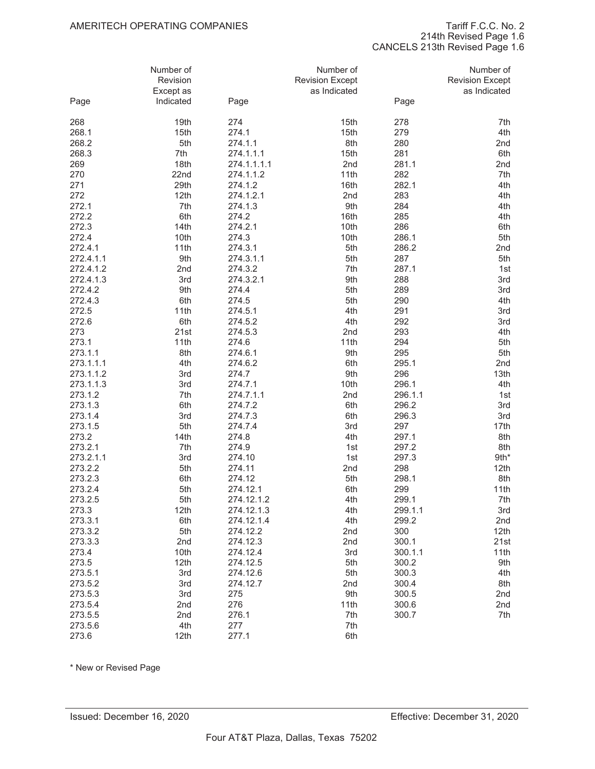214th Revised Page 1.6

CANCELS 213th Revised Page 1.6

|                        | Number of<br>Revision<br>Except as |                  | Number of<br><b>Revision Except</b><br>as Indicated |              | Number of<br><b>Revision Except</b><br>as Indicated |
|------------------------|------------------------------------|------------------|-----------------------------------------------------|--------------|-----------------------------------------------------|
| Page                   | Indicated                          | Page             |                                                     | Page         |                                                     |
| 268                    | 19th                               | 274              | 15th                                                | 278          | 7th                                                 |
| 268.1                  | 15th                               | 274.1            | 15th                                                | 279          | 4th                                                 |
| 268.2                  | 5th                                | 274.1.1          | 8th                                                 | 280          | 2nd                                                 |
| 268.3                  | 7th                                | 274.1.1.1        | 15th                                                | 281          | 6th                                                 |
| 269                    | 18th                               | 274.1.1.1.1      | 2nd                                                 | 281.1        | 2nd                                                 |
| 270                    | 22nd                               | 274.1.1.2        | 11th                                                | 282          | 7th                                                 |
| 271                    | 29th                               | 274.1.2          | 16th                                                | 282.1        | 4th                                                 |
| 272                    | 12th                               | 274.1.2.1        | 2nd                                                 | 283          | 4th                                                 |
| 272.1                  | 7th                                | 274.1.3          | 9th                                                 | 284          | 4th                                                 |
| 272.2                  | 6th                                | 274.2            | 16th                                                | 285          | 4th                                                 |
| 272.3                  | 14th                               | 274.2.1          | 10th                                                | 286          | 6th                                                 |
| 272.4                  | 10th                               | 274.3            | 10th                                                | 286.1        | 5th                                                 |
| 272.4.1                | 11th                               | 274.3.1          | 5th                                                 | 286.2        | 2nd                                                 |
| 272.4.1.1              | 9th                                | 274.3.1.1        | 5th                                                 | 287          | 5th                                                 |
| 272.4.1.2              | 2nd                                | 274.3.2          | 7th                                                 | 287.1        | 1st                                                 |
| 272.4.1.3              | 3rd                                | 274.3.2.1        | 9th                                                 | 288          | 3rd                                                 |
| 272.4.2                | 9th                                | 274.4            | 5th                                                 | 289          | 3rd                                                 |
| 272.4.3                | 6th                                | 274.5            | 5th                                                 | 290          | 4th                                                 |
| 272.5                  | 11th                               | 274.5.1          | 4th                                                 | 291          | 3rd                                                 |
| 272.6                  | 6th                                | 274.5.2          | 4th                                                 | 292          | 3rd                                                 |
| 273                    | 21st                               | 274.5.3          | 2nd                                                 | 293          | 4th                                                 |
| 273.1                  | 11th                               | 274.6            | 11th                                                | 294          | 5th                                                 |
| 273.1.1                | 8th                                | 274.6.1          | 9th                                                 | 295          | 5th                                                 |
| 273.1.1.1              | 4th<br>3rd                         | 274.6.2<br>274.7 | 6th<br>9th                                          | 295.1<br>296 | 2nd<br>13th                                         |
| 273.1.1.2<br>273.1.1.3 | 3rd                                | 274.7.1          | 10th                                                | 296.1        | 4th                                                 |
| 273.1.2                | 7th                                | 274.7.1.1        | 2nd                                                 | 296.1.1      | 1st                                                 |
| 273.1.3                | 6th                                | 274.7.2          | 6th                                                 | 296.2        | 3rd                                                 |
| 273.1.4                | 3rd                                | 274.7.3          | 6th                                                 | 296.3        | 3rd                                                 |
| 273.1.5                | 5th                                | 274.7.4          | 3rd                                                 | 297          | 17th                                                |
| 273.2                  | 14th                               | 274.8            | 4th                                                 | 297.1        | 8th                                                 |
| 273.2.1                | 7th                                | 274.9            | 1st                                                 | 297.2        | 8th                                                 |
| 273.2.1.1              | 3rd                                | 274.10           | 1st                                                 | 297.3        | 9th*                                                |
| 273.2.2                | 5th                                | 274.11           | 2nd                                                 | 298          | 12th                                                |
| 273.2.3                | 6th                                | 274.12           | 5th                                                 | 298.1        | 8th                                                 |
| 273.2.4                | 5th                                | 274.12.1         | 6th                                                 | 299          | 11th                                                |
| 273.2.5                | 5th                                | 274.12.1.2       | 4th                                                 | 299.1        | 7th                                                 |
| 273.3                  | 12th                               | 274.12.1.3       | 4th                                                 | 299.1.1      | 3rd                                                 |
| 273.3.1                | 6th                                | 274.12.1.4       | 4th                                                 | 299.2        | 2nd                                                 |
| 273.3.2                | 5th                                | 274.12.2         | 2nd                                                 | 300          | 12th                                                |
| 273.3.3                | 2nd                                | 274.12.3         | 2nd                                                 | 300.1        | 21st                                                |
| 273.4                  | 10th                               | 274.12.4         | 3rd                                                 | 300.1.1      | 11th                                                |
| 273.5                  | 12th                               | 274.12.5         | 5th                                                 | 300.2        | 9th                                                 |
| 273.5.1                | 3rd                                | 274.12.6         | 5th                                                 | 300.3        | 4th                                                 |
| 273.5.2                | 3rd                                | 274.12.7         | 2nd                                                 | 300.4        | 8th                                                 |
| 273.5.3                | 3rd                                | 275              | 9th                                                 | 300.5        | 2nd                                                 |
| 273.5.4                | 2nd                                | 276              | 11th                                                | 300.6        | 2nd                                                 |
| 273.5.5                | 2nd                                | 276.1            | 7th                                                 | 300.7        | 7th                                                 |
| 273.5.6                | 4th                                | 277              | 7th                                                 |              |                                                     |
| 273.6                  | 12th                               | 277.1            | 6th                                                 |              |                                                     |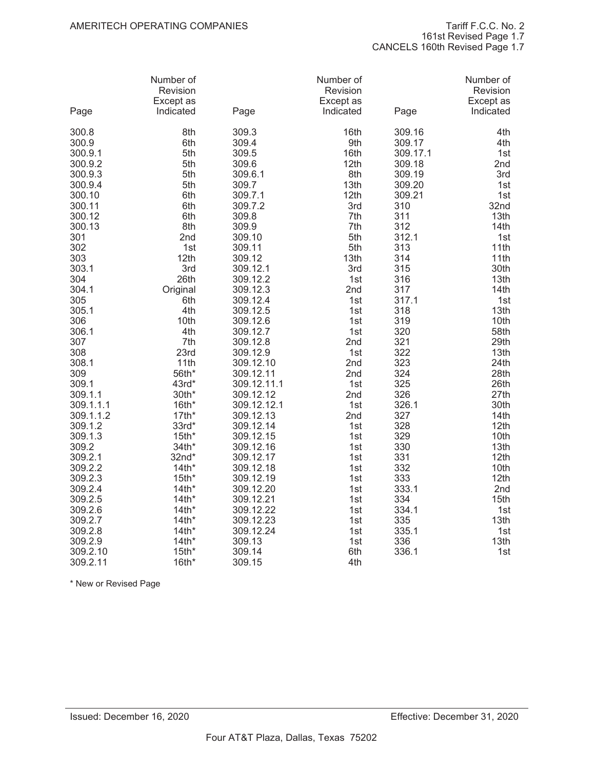| Page           | Number of<br>Revision<br>Except as<br>Indicated | Page                   | Number of<br>Revision<br>Except as<br>Indicated | Page             | Number of<br>Revision<br>Except as<br>Indicated |
|----------------|-------------------------------------------------|------------------------|-------------------------------------------------|------------------|-------------------------------------------------|
| 300.8<br>300.9 | 8th<br>6th                                      | 309.3<br>309.4         | 16th<br>9th                                     | 309.16<br>309.17 | 4th<br>4th                                      |
| 300.9.1        | 5th                                             | 309.5                  | 16th                                            | 309.17.1         | 1st                                             |
| 300.9.2        | 5th                                             | 309.6                  | 12th                                            | 309.18           | 2nd                                             |
| 300.9.3        | 5th                                             | 309.6.1                | 8th                                             | 309.19           | 3rd                                             |
| 300.9.4        | 5th                                             | 309.7                  | 13th                                            | 309.20           | 1st                                             |
| 300.10         | 6th                                             | 309.7.1                | 12th                                            | 309.21           | 1st                                             |
| 300.11         | 6th                                             | 309.7.2                | 3rd                                             | 310              | 32nd                                            |
| 300.12         | 6th                                             | 309.8                  | 7th                                             | 311              | 13th                                            |
| 300.13         | 8th                                             | 309.9                  | 7th                                             | 312              | 14th                                            |
| 301            | 2nd                                             | 309.10                 | 5th                                             | 312.1            | 1st                                             |
| 302            | 1st                                             | 309.11                 | 5th                                             | 313              | 11th                                            |
| 303            | 12th                                            | 309.12                 | 13th                                            | 314              | 11th                                            |
| 303.1          | 3rd                                             | 309.12.1               | 3rd                                             | 315              | 30th                                            |
| 304            | 26th                                            | 309.12.2               | 1st                                             | 316              | 13th                                            |
| 304.1          | Original                                        | 309.12.3               | 2nd                                             | 317              | 14th                                            |
| 305            | 6th                                             | 309.12.4               | 1st                                             | 317.1            | 1st                                             |
| 305.1          | 4th                                             | 309.12.5               | 1st                                             | 318              | 13th                                            |
| 306            | 10th                                            | 309.12.6               | 1st                                             | 319              | 10th                                            |
| 306.1          | 4th                                             | 309.12.7               | 1st                                             | 320              | 58th                                            |
| 307            | 7th                                             | 309.12.8               | 2nd                                             | 321              | 29th<br>13th                                    |
| 308<br>308.1   | 23rd<br>11th                                    | 309.12.9               | 1st<br>2nd                                      | 322<br>323       | 24th                                            |
| 309            | 56th*                                           | 309.12.10<br>309.12.11 | 2nd                                             | 324              | 28th                                            |
| 309.1          | 43rd*                                           | 309.12.11.1            | 1st                                             | 325              | 26th                                            |
| 309.1.1        | 30th*                                           | 309.12.12              | 2nd                                             | 326              | 27th                                            |
| 309.1.1.1      | $16th*$                                         | 309.12.12.1            | 1st                                             | 326.1            | 30th                                            |
| 309.1.1.2      | $17th*$                                         | 309.12.13              | 2nd                                             | 327              | 14th                                            |
| 309.1.2        | 33rd*                                           | 309.12.14              | 1st                                             | 328              | 12th                                            |
| 309.1.3        | $15th*$                                         | 309.12.15              | 1st                                             | 329              | 10th                                            |
| 309.2          | 34th*                                           | 309.12.16              | 1st                                             | 330              | 13th                                            |
| 309.2.1        | 32nd*                                           | 309.12.17              | 1st                                             | 331              | 12th                                            |
| 309.2.2        | $14th*$                                         | 309.12.18              | 1st                                             | 332              | 10th                                            |
| 309.2.3        | $15th*$                                         | 309.12.19              | 1st                                             | 333              | 12th                                            |
| 309.2.4        | $14th*$                                         | 309.12.20              | 1st                                             | 333.1            | 2nd                                             |
| 309.2.5        | $14th*$                                         | 309.12.21              | 1st                                             | 334              | 15th                                            |
| 309.2.6        | $14th*$                                         | 309.12.22              | 1st                                             | 334.1            | 1st                                             |
| 309.2.7        | $14th*$                                         | 309.12.23              | 1st                                             | 335              | 13th                                            |
| 309.2.8        | $14th*$                                         | 309.12.24              | 1st                                             | 335.1            | 1st                                             |
| 309.2.9        | $14th*$                                         | 309.13                 | 1st                                             | 336              | 13th                                            |
| 309.2.10       | $15th*$                                         | 309.14                 | 6th                                             | 336.1            | 1st                                             |
| 309.2.11       | $16th*$                                         | 309.15                 | 4th                                             |                  |                                                 |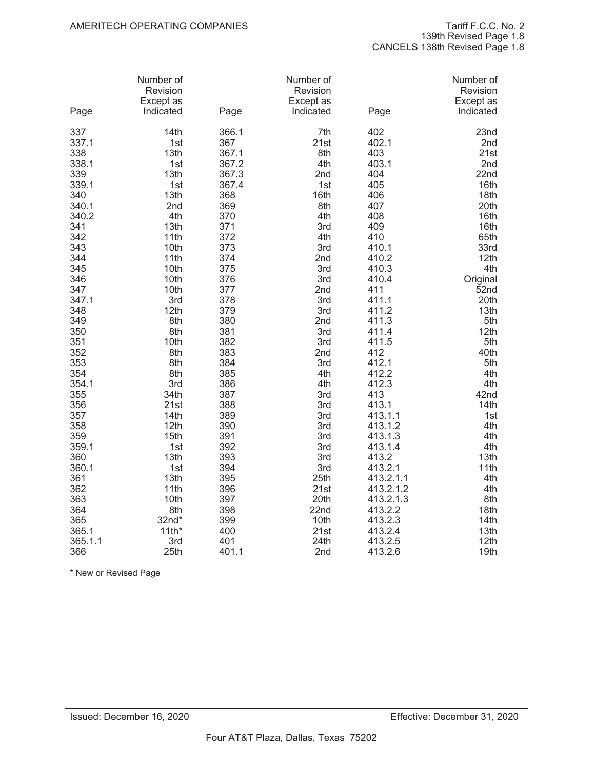| Page    | Number of<br>Revision<br>Except as<br>Indicated | Page  | Number of<br>Revision<br>Except as<br>Indicated | Page      | Number of<br>Revision<br>Except as<br>Indicated |
|---------|-------------------------------------------------|-------|-------------------------------------------------|-----------|-------------------------------------------------|
| 337     | 14th                                            | 366.1 | 7th                                             | 402       | 23nd                                            |
| 337.1   | 1st                                             | 367   | 21st                                            | 402.1     | 2nd                                             |
| 338     | 13th                                            | 367.1 | 8th                                             | 403       | 21st                                            |
| 338.1   | 1st                                             | 367.2 | 4th                                             | 403.1     | 2nd                                             |
| 339     | 13th                                            | 367.3 | 2nd                                             | 404       | 22nd                                            |
| 339.1   | 1st                                             | 367.4 | 1st                                             | 405       | 16th                                            |
| 340     | 13th                                            | 368   | 16th                                            | 406       | 18th                                            |
| 340.1   | 2nd                                             | 369   | 8th                                             | 407       | 20th                                            |
| 340.2   | 4th                                             | 370   | 4th                                             | 408       | 16th                                            |
| 341     | 13th                                            | 371   | 3rd                                             | 409       | 16th                                            |
| 342     | 11th                                            | 372   | 4th                                             | 410       | 65th                                            |
| 343     | 10th                                            | 373   | 3rd                                             | 410.1     | 33rd                                            |
| 344     | 11th                                            | 374   | 2nd                                             | 410.2     | 12th                                            |
| 345     | 10th                                            | 375   | 3rd                                             | 410.3     | 4th                                             |
| 346     | 10th                                            | 376   | 3rd                                             | 410.4     | Original                                        |
| 347     | 10th                                            | 377   | 2nd                                             | 411       | 52 <sub>nd</sub>                                |
| 347.1   | 3rd                                             | 378   | 3rd                                             | 411.1     | 20th                                            |
| 348     | 12th                                            | 379   | 3rd                                             | 411.2     | 13th                                            |
| 349     | 8th                                             | 380   | 2nd                                             | 411.3     | 5th                                             |
| 350     | 8th                                             | 381   | 3rd                                             | 411.4     | 12th                                            |
| 351     | 10th                                            | 382   | 3rd                                             | 411.5     | 5th                                             |
| 352     | 8th                                             | 383   | 2nd                                             | 412       | 40th                                            |
| 353     | 8th                                             | 384   | 3rd                                             | 412.1     | 5th                                             |
| 354     | 8th                                             | 385   | 4th                                             | 412.2     | 4th                                             |
| 354.1   | 3rd                                             | 386   | 4th                                             | 412.3     | 4th                                             |
| 355     | 34th                                            | 387   | 3rd                                             | 413       | 42nd                                            |
| 356     | 21st                                            | 388   | 3rd                                             | 413.1     | 14th                                            |
| 357     | 14th                                            | 389   | 3rd                                             | 413.1.1   | 1st                                             |
| 358     | 12th                                            | 390   | 3rd                                             | 413.1.2   | 4th                                             |
| 359     | 15th                                            | 391   | 3rd                                             | 413.1.3   | 4th                                             |
| 359.1   | 1st                                             | 392   | 3rd                                             | 413.1.4   | 4th                                             |
| 360     | 13th                                            | 393   | 3rd                                             | 413.2     | 13th                                            |
| 360.1   | 1st                                             | 394   | 3rd                                             | 413.2.1   | 11th                                            |
| 361     | 13th                                            | 395   | 25th                                            | 413.2.1.1 | 4th                                             |
| 362     | 11th                                            | 396   | 21st                                            | 413.2.1.2 | 4th                                             |
| 363     | 10th                                            | 397   | 20th                                            | 413.2.1.3 | 8th                                             |
| 364     | 8th                                             | 398   | 22nd                                            | 413.2.2   | 18th                                            |
| 365     | $32nd*$                                         | 399   | 10th                                            | 413.2.3   | 14th                                            |
| 365.1   | $11th*$                                         | 400   | 21st                                            | 413.2.4   | 13th                                            |
| 365.1.1 | 3rd                                             | 401   | 24th                                            | 413.2.5   | 12th                                            |
| 366     | 25th                                            | 401.1 | 2nd                                             | 413.2.6   | 19th                                            |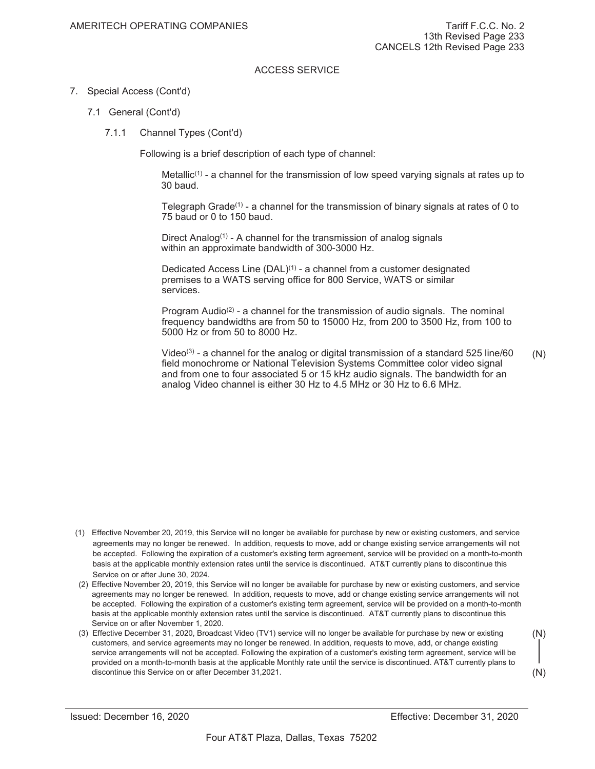# 7. Special Access (Cont'd)

- 7.1 General (Cont'd)
	- 7.1.1 Channel Types (Cont'd)

Following is a brief description of each type of channel:

Metallic<sup>(1)</sup> - a channel for the transmission of low speed varying signals at rates up to 30 baud.

Telegraph Grade<sup>(1)</sup> - a channel for the transmission of binary signals at rates of 0 to 75 baud or 0 to 150 baud.

Direct Analog<sup> $(1)$ </sup> - A channel for the transmission of analog signals within an approximate bandwidth of 300-3000 Hz.

Dedicated Access Line  $(DAL)^{(1)}$  - a channel from a customer designated premises to a WATS serving office for 800 Service, WATS or similar services.

Program Audio<sup>(2)</sup> - a channel for the transmission of audio signals. The nominal frequency bandwidths are from 50 to 15000 Hz, from 200 to 3500 Hz, from 100 to 5000 Hz or from 50 to 8000 Hz.

Video<sup>(3)</sup> - a channel for the analog or digital transmission of a standard 525 line/60 field monochrome or National Television Systems Committee color video signal and from one to four associated 5 or 15 kHz audio signals. The bandwidth for an analog Video channel is either 30 Hz to 4.5 MHz or 30 Hz to 6.6 MHz. (N)

- (1) Effective November 20, 2019, this Service will no longer be available for purchase by new or existing customers, and service agreements may no longer be renewed. In addition, requests to move, add or change existing service arrangements will not be accepted. Following the expiration of a customer's existing term agreement, service will be provided on a month-to-month basis at the applicable monthly extension rates until the service is discontinued. AT&T currently plans to discontinue this Service on or after June 30, 2024.
- (2) Effective November 20, 2019, this Service will no longer be available for purchase by new or existing customers, and service agreements may no longer be renewed. In addition, requests to move, add or change existing service arrangements will not be accepted. Following the expiration of a customer's existing term agreement, service will be provided on a month-to-month basis at the applicable monthly extension rates until the service is discontinued. AT&T currently plans to discontinue this Service on or after November 1, 2020.
- (3) Effective December 31, 2020, Broadcast Video (TV1) service will no longer be available for purchase by new or existing customers, and service agreements may no longer be renewed. In addition, requests to move, add, or change existing service arrangements will not be accepted. Following the expiration of a customer's existing term agreement, service will be provided on a month-to-month basis at the applicable Monthly rate until the service is discontinued. AT&T currently plans to discontinue this Service on or after December 31, 2021. (N) (N)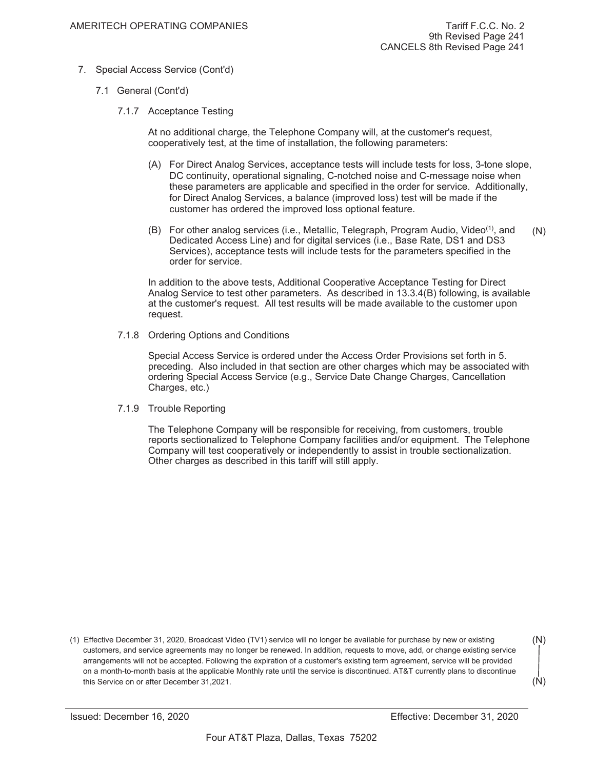- 7. Special Access Service (Cont'd)
	- 7.1 General (Cont'd)
		- 7.1.7 Acceptance Testing

At no additional charge, the Telephone Company will, at the customer's request, cooperatively test, at the time of installation, the following parameters:

- (A) For Direct Analog Services, acceptance tests will include tests for loss, 3-tone slope, DC continuity, operational signaling, C-notched noise and C-message noise when these parameters are applicable and specified in the order for service. Additionally, for Direct Analog Services, a balance (improved loss) test will be made if the customer has ordered the improved loss optional feature.
- (B) For other analog services (i.e., Metallic, Telegraph, Program Audio, Video<sup>(1)</sup>, and Dedicated Access Line) and for digital services (i.e., Base Rate, DS1 and DS3 Services), acceptance tests will include tests for the parameters specified in the order for service. (N)

In addition to the above tests, Additional Cooperative Acceptance Testing for Direct Analog Service to test other parameters. As described in 13.3.4(B) following, is available at the customer's request. All test results will be made available to the customer upon request.

7.1.8 Ordering Options and Conditions

Special Access Service is ordered under the Access Order Provisions set forth in 5. preceding. Also included in that section are other charges which may be associated with ordering Special Access Service (e.g., Service Date Change Charges, Cancellation Charges, etc.)

7.1.9 Trouble Reporting

The Telephone Company will be responsible for receiving, from customers, trouble reports sectionalized to Telephone Company facilities and/or equipment. The Telephone Company will test cooperatively or independently to assist in trouble sectionalization. Other charges as described in this tariff will still apply.

(1) Effective December 31, 2020, Broadcast Video (TV1) service will no longer be available for purchase by new or existing customers, and service agreements may no longer be renewed. In addition, requests to move, add, or change existing service arrangements will not be accepted. Following the expiration of a customer's existing term agreement, service will be provided on a month-to-month basis at the applicable Monthly rate until the service is discontinued. AT&T currently plans to discontinue this Service on or after December 31, 2021.

```
(N)
```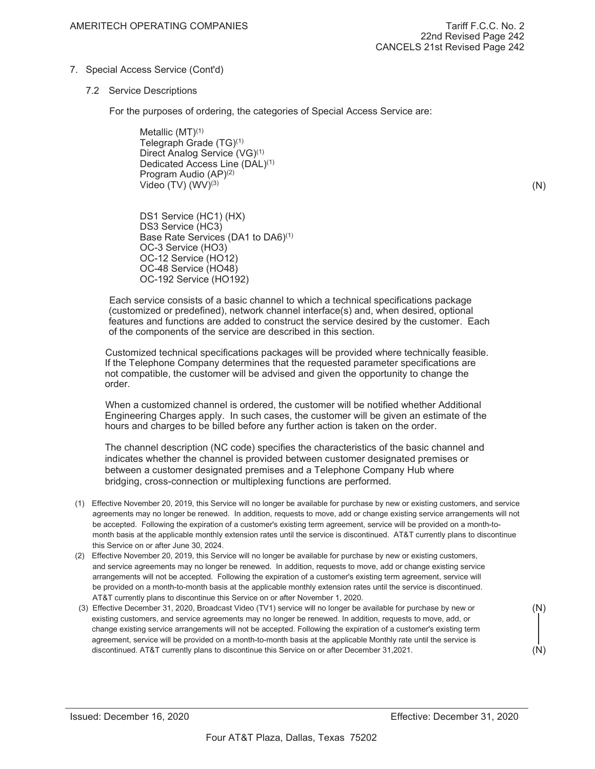# 7. Special Access Service (Cont'd)

# 7.2 Service Descriptions

For the purposes of ordering, the categories of Special Access Service are:

Metallic (MT)(1) Telegraph Grade (TG)(1) Direct Analog Service (VG)(1) Dedicated Access Line (DAL)(1) Program Audio (AP)(2) Video  $(TV)$   $(WV)^{(3)}$ 

(N)

DS1 Service (HC1) (HX) DS3 Service (HC3) Base Rate Services (DA1 to DA6)(1) OC-3 Service (HO3) OC-12 Service (HO12) OC-48 Service (HO48) OC-192 Service (HO192)

Each service consists of a basic channel to which a technical specifications package (customized or predefined), network channel interface(s) and, when desired, optional features and functions are added to construct the service desired by the customer. Each of the components of the service are described in this section.

Customized technical specifications packages will be provided where technically feasible. If the Telephone Company determines that the requested parameter specifications are not compatible, the customer will be advised and given the opportunity to change the order.

When a customized channel is ordered, the customer will be notified whether Additional Engineering Charges apply. In such cases, the customer will be given an estimate of the hours and charges to be billed before any further action is taken on the order.

The channel description (NC code) specifies the characteristics of the basic channel and indicates whether the channel is provided between customer designated premises or between a customer designated premises and a Telephone Company Hub where bridging, cross-connection or multiplexing functions are performed.

- (1) Effective November 20, 2019, this Service will no longer be available for purchase by new or existing customers, and service agreements may no longer be renewed. In addition, requests to move, add or change existing service arrangements will not be accepted. Following the expiration of a customer's existing term agreement, service will be provided on a month-tomonth basis at the applicable monthly extension rates until the service is discontinued. AT&T currently plans to discontinue this Service on or after June 30, 2024.
- (2) Effective November 20, 2019, this Service will no longer be available for purchase by new or existing customers, and service agreements may no longer be renewed. In addition, requests to move, add or change existing service arrangements will not be accepted. Following the expiration of a customer's existing term agreement, service will be provided on a month-to-month basis at the applicable monthly extension rates until the service is discontinued. AT&T currently plans to discontinue this Service on or after November 1, 2020.
- (3) Effective December 31, 2020, Broadcast Video (TV1) service will no longer be available for purchase by new or existing customers, and service agreements may no longer be renewed. In addition, requests to move, add, or change existing service arrangements will not be accepted. Following the expiration of a customer's existing term agreement, service will be provided on a month-to-month basis at the applicable Monthly rate until the service is discontinued. AT&T currently plans to discontinue this Service on or after December 31, 2021. (N)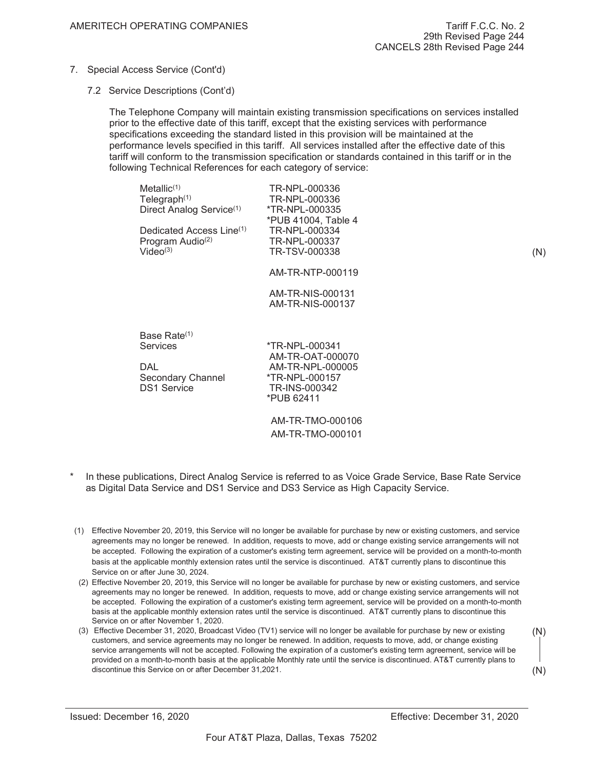- 7. Special Access Service (Cont'd)
	- 7.2 Service Descriptions (Cont'd)

The Telephone Company will maintain existing transmission specifications on services installed prior to the effective date of this tariff, except that the existing services with performance specifications exceeding the standard listed in this provision will be maintained at the performance levels specified in this tariff. All services installed after the effective date of this tariff will conform to the transmission specification or standards contained in this tariff or in the following Technical References for each category of service:

| Metallic <sup>(1)</sup><br>Telegraph $(1)$<br>Direct Analog Service <sup>(1)</sup><br>Dedicated Access Line <sup>(1)</sup><br>Program Audio <sup>(2)</sup><br>Video <sup>(3)</sup> | TR-NPL-000336<br>TR-NPL-000336<br>*TR-NPL-000335<br>*PUB 41004, Table 4<br>TR-NPL-000334<br>TR-NPL-000337<br>TR-TSV-000338 | (N) |
|------------------------------------------------------------------------------------------------------------------------------------------------------------------------------------|----------------------------------------------------------------------------------------------------------------------------|-----|
|                                                                                                                                                                                    | AM-TR-NTP-000119                                                                                                           |     |
|                                                                                                                                                                                    | AM-TR-NIS-000131<br>AM-TR-NIS-000137                                                                                       |     |
| Base Rate $(1)$<br>Services                                                                                                                                                        | *TR-NPL-000341                                                                                                             |     |
| <b>DAL</b><br>Secondary Channel<br><b>DS1 Service</b>                                                                                                                              | AM-TR-OAT-000070<br>AM-TR-NPL-000005<br>*TR-NPL-000157<br>TR-INS-000342<br>*PUB 62411                                      |     |
|                                                                                                                                                                                    | AM-TR-TMO-000106<br>AM-TR-TMO-000101                                                                                       |     |

- In these publications, Direct Analog Service is referred to as Voice Grade Service, Base Rate Service as Digital Data Service and DS1 Service and DS3 Service as High Capacity Service.
- (1) Effective November 20, 2019, this Service will no longer be available for purchase by new or existing customers, and service agreements may no longer be renewed. In addition, requests to move, add or change existing service arrangements will not be accepted. Following the expiration of a customer's existing term agreement, service will be provided on a month-to-month basis at the applicable monthly extension rates until the service is discontinued. AT&T currently plans to discontinue this Service on or after June 30, 2024.
- (2) Effective November 20, 2019, this Service will no longer be available for purchase by new or existing customers, and service agreements may no longer be renewed. In addition, requests to move, add or change existing service arrangements will not be accepted. Following the expiration of a customer's existing term agreement, service will be provided on a month-to-month basis at the applicable monthly extension rates until the service is discontinued. AT&T currently plans to discontinue this Service on or after November 1, 2020.
- (3) Effective December 31, 2020, Broadcast Video (TV1) service will no longer be available for purchase by new or existing customers, and service agreements may no longer be renewed. In addition, requests to move, add, or change existing service arrangements will not be accepted. Following the expiration of a customer's existing term agreement, service will be provided on a month-to-month basis at the applicable Monthly rate until the service is discontinued. AT&T currently plans to discontinue this Service on or after December 31, 2021. (N)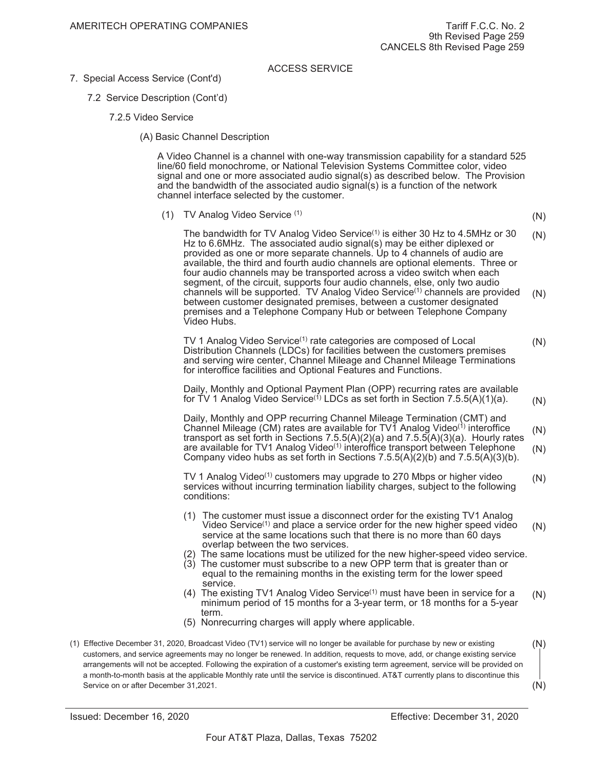- 7. Special Access Service (Cont'd)
	- 7.2 Service Description (Cont'd)
		- 7.2.5 Video Service
			- (A) Basic Channel Description

A Video Channel is a channel with one-way transmission capability for a standard 525 line/60 field monochrome, or National Television Systems Committee color, video signal and one or more associated audio signal(s) as described below. The Provision and the bandwidth of the associated audio signal(s) is a function of the network channel interface selected by the customer.

(1) TV Analog Video Service (1)

(N)

The bandwidth for TV Analog Video Service<sup>(1)</sup> is either 30 Hz to 4.5MHz or 30 Hz to 6.6MHz. The associated audio signal(s) may be either diplexed or provided as one or more separate channels. Up to 4 channels of audio are available, the third and fourth audio channels are optional elements. Three or four audio channels may be transported across a video switch when each segment, of the circuit, supports four audio channels, else, only two audio channels will be supported. TV Analog Video Service<sup>(1)</sup> channels are provided between customer designated premises, between a customer designated premises and a Telephone Company Hub or between Telephone Company Video Hubs. (N) (N)

TV 1 Analog Video Service<sup>(1)</sup> rate categories are composed of Local Distribution Channels (LDCs) for facilities between the customers premises and serving wire center, Channel Mileage and Channel Mileage Terminations for interoffice facilities and Optional Features and Functions. (N)

Daily, Monthly and Optional Payment Plan (OPP) recurring rates are available for TV 1 Analog Video Service<sup>(1)</sup> LDCs as set forth in Section 7.5.5(A)(1)(a). (N)

Daily, Monthly and OPP recurring Channel Mileage Termination (CMT) and Channel Mileage (CM) rates are available for TV1 Analog Video $(1)$  interoffice transport as set forth in Sections 7.5.5(A)(2)(a) and 7.5.5(A)(3)(a). Hourly rates are available for TV1 Analog Video<sup>(1)</sup> interoffice transport between Telephone Company video hubs as set forth in Sections  $7.5.5(A)(2)(b)$  and  $7.5.5(A)(3)(b)$ . (N) (N)

TV 1 Analog Video<sup>(1)</sup> customers may upgrade to 270 Mbps or higher video services without incurring termination liability charges, subject to the following conditions: (N)

- (1) The customer must issue a disconnect order for the existing TV1 Analog Video Service<sup>(1)</sup> and place a service order for the new higher speed video service at the same locations such that there is no more than 60 days overlap between the two services. (N)
- (2) The same locations must be utilized for the new higher-speed video service.
- (3) The customer must subscribe to a new OPP term that is greater than or equal to the remaining months in the existing term for the lower speed service.
- (4) The existing TV1 Analog Video Service(1) must have been in service for a minimum period of 15 months for a 3-year term, or 18 months for a 5-year term. (N)
- (5) Nonrecurring charges will apply where applicable.
- (1) Effective December 31, 2020, Broadcast Video (TV1) service will no longer be available for purchase by new or existing customers, and service agreements may no longer be renewed. In addition, requests to move, add, or change existing service arrangements will not be accepted. Following the expiration of a customer's existing term agreement, service will be provided on a month-to-month basis at the applicable Monthly rate until the service is discontinued. AT&T currently plans to discontinue this Service on or after December 31, 2021. (N) (N)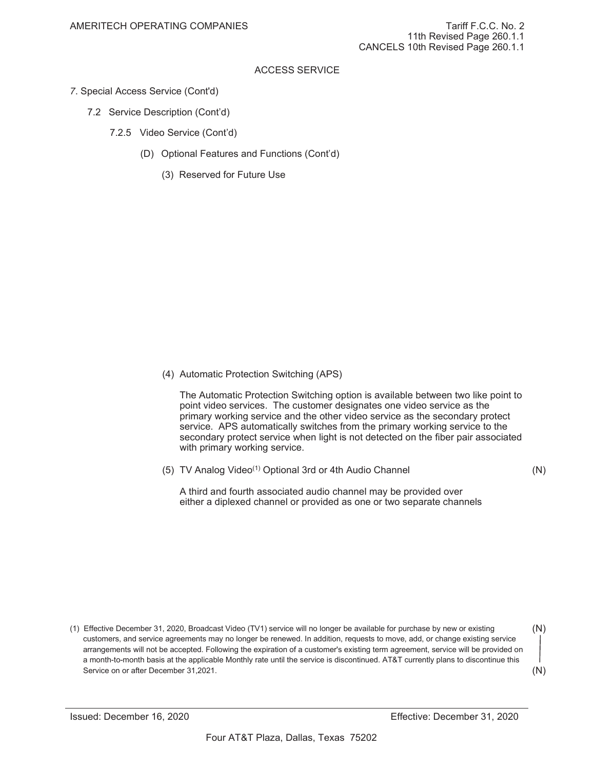- *7*. Special Access Service (Cont'd)
	- 7.2 Service Description (Cont'd)
		- 7.2.5 Video Service (Cont'd)
			- (D) Optional Features and Functions (Cont'd)
				- (3) Reserved for Future Use

(4) Automatic Protection Switching (APS)

The Automatic Protection Switching option is available between two like point to point video services. The customer designates one video service as the primary working service and the other video service as the secondary protect service. APS automatically switches from the primary working service to the secondary protect service when light is not detected on the fiber pair associated with primary working service.

(5) TV Analog Video<sup>(1)</sup> Optional 3rd or 4th Audio Channel (N)

A third and fourth associated audio channel may be provided over either a diplexed channel or provided as one or two separate channels

<sup>(1)</sup> Effective December 31, 2020, Broadcast Video (TV1) service will no longer be available for purchase by new or existing customers, and service agreements may no longer be renewed. In addition, requests to move, add, or change existing service arrangements will not be accepted. Following the expiration of a customer's existing term agreement, service will be provided on a month-to-month basis at the applicable Monthly rate until the service is discontinued. AT&T currently plans to discontinue this Service on or after December 31, 2021. (N)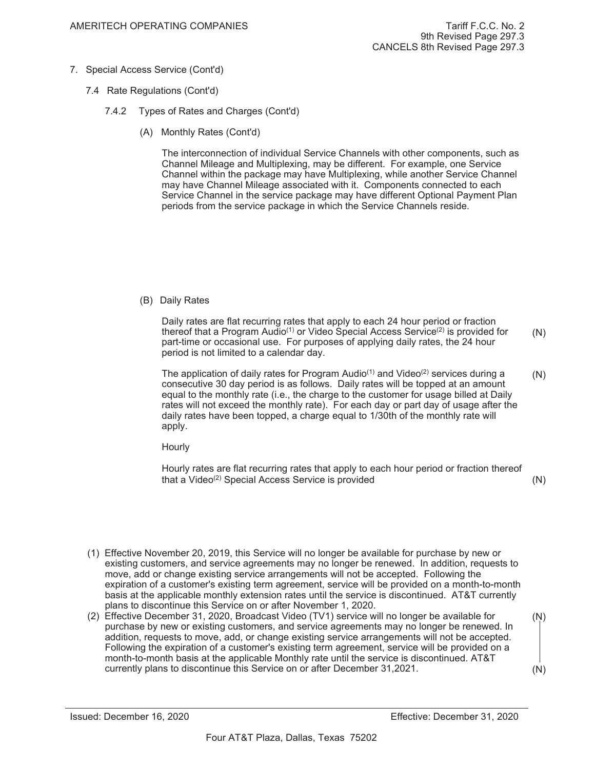- 7. Special Access Service (Cont'd)
	- 7.4 Rate Regulations (Cont'd)
		- 7.4.2 Types of Rates and Charges (Cont'd)
			- (A) Monthly Rates (Cont'd)

The interconnection of individual Service Channels with other components, such as Channel Mileage and Multiplexing, may be different. For example, one Service Channel within the package may have Multiplexing, while another Service Channel may have Channel Mileage associated with it. Components connected to each Service Channel in the service package may have different Optional Payment Plan periods from the service package in which the Service Channels reside.

(B) Daily Rates

Daily rates are flat recurring rates that apply to each 24 hour period or fraction thereof that a Program Audio<sup>(1)</sup> or Video Special Access Service<sup>(2)</sup> is provided for part-time or occasional use. For purposes of applying daily rates, the 24 hour period is not limited to a calendar day. (N)

The application of daily rates for Program Audio<sup>(1)</sup> and Video<sup>(2)</sup> services during a consecutive 30 day period is as follows. Daily rates will be topped at an amount equal to the monthly rate (i.e., the charge to the customer for usage billed at Daily rates will not exceed the monthly rate). For each day or part day of usage after the daily rates have been topped, a charge equal to 1/30th of the monthly rate will apply. (N)

**Hourly** 

Hourly rates are flat recurring rates that apply to each hour period or fraction thereof that a Video<sup>(2)</sup> Special Access Service is provided (N)

(1) Effective November 20, 2019, this Service will no longer be available for purchase by new or existing customers, and service agreements may no longer be renewed. In addition, requests to move, add or change existing service arrangements will not be accepted. Following the expiration of a customer's existing term agreement, service will be provided on a month-to-month basis at the applicable monthly extension rates until the service is discontinued. AT&T currently plans to discontinue this Service on or after November 1, 2020.

(2) Effective December 31, 2020, Broadcast Video (TV1) service will no longer be available for purchase by new or existing customers, and service agreements may no longer be renewed. In addition, requests to move, add, or change existing service arrangements will not be accepted. Following the expiration of a customer's existing term agreement, service will be provided on a month-to-month basis at the applicable Monthly rate until the service is discontinued. AT&T currently plans to discontinue this Service on or after December 31, 2021. (N) (N)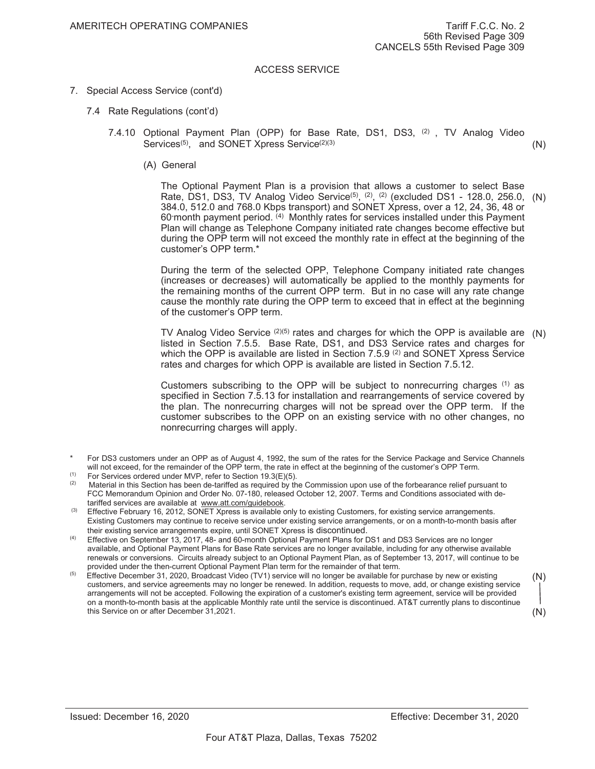- 7. Special Access Service (cont'd)
	- 7.4 Rate Regulations (cont'd)
		- 7.4.10 Optional Payment Plan (OPP) for Base Rate, DS1, DS3, <sup>(2)</sup>, TV Analog Video Services<sup>(5)</sup>, and SONET Xpress Service<sup>(2)(3)</sup> (N)
			- (A) General

The Optional Payment Plan is a provision that allows a customer to select Base Rate, DS1, DS3, TV Analog Video Service<sup>(5)</sup>, <sup>(2)</sup>, <sup>(2)</sup> (excluded DS1 - 128.0, 256.0, (N) 384.0, 512.0 and 768.0 Kbps transport) and SONET Xpress, over a 12, 24, 36, 48 or 60- month payment period. (4) Monthly rates for services installed under this Payment Plan will change as Telephone Company initiated rate changes become effective but during the OPP term will not exceed the monthly rate in effect at the beginning of the customer's OPP term.\*

During the term of the selected OPP, Telephone Company initiated rate changes (increases or decreases) will automatically be applied to the monthly payments for the remaining months of the current OPP term. But in no case will any rate change cause the monthly rate during the OPP term to exceed that in effect at the beginning of the customer's OPP term.

TV Analog Video Service  $(2)(5)$  rates and charges for which the OPP is available are  $(N)$ listed in Section 7.5.5. Base Rate, DS1, and DS3 Service rates and charges for which the OPP is available are listed in Section 7.5.9  $(2)$  and SONET Xpress Service rates and charges for which OPP is available are listed in Section 7.5.12.

Customers subscribing to the OPP will be subject to nonrecurring charges (1) as specified in Section 7.5.13 for installation and rearrangements of service covered by the plan. The nonrecurring charges will not be spread over the OPP term. If the customer subscribes to the OPP on an existing service with no other changes, no nonrecurring charges will apply.

- For DS3 customers under an OPP as of August 4, 1992, the sum of the rates for the Service Package and Service Channels will not exceed, for the remainder of the OPP term, the rate in effect at the beginning of the customer's OPP Term.
- (1) For Services ordered under MVP, refer to Section 19.3(E)(5).<br>(2) Material in this Section has been de-tariffed as required by the
- Material in this Section has been de-tariffed as required by the Commission upon use of the forbearance relief pursuant to FCC Memorandum Opinion and Order No. 07-180, released October 12, 2007. Terms and Conditions associated with detariffed services are available at www.att.com/guidebook.
- <sup>(3)</sup> Effective February 16, 2012, SONET Xpress is available only to existing Customers, for existing service arrangements. Existing Customers may continue to receive service under existing service arrangements, or on a month-to-month basis after
- their existing service arrangements expire, until SONET Xpress is discontinued.<br>Effective on September 13, 2017, 48- and 60-month Optional Payment Plans for DS1 and DS3 Services are no longer available, and Optional Payment Plans for Base Rate services are no longer available, including for any otherwise available renewals or conversions. Circuits already subject to an Optional Payment Plan, as of September 13, 2017, will continue to be provided under the then-current Optional Payment Plan term for the remainder of that term.
- Effective December 31, 2020, Broadcast Video (TV1) service will no longer be available for purchase by new or existing customers, and service agreements may no longer be renewed. In addition, requests to move, add, or change existing service arrangements will not be accepted. Following the expiration of a customer's existing term agreement, service will be provided on a month-to-month basis at the applicable Monthly rate until the service is discontinued. AT&T currently plans to discontinue this Service on or after December 31, 2021. (N) (N)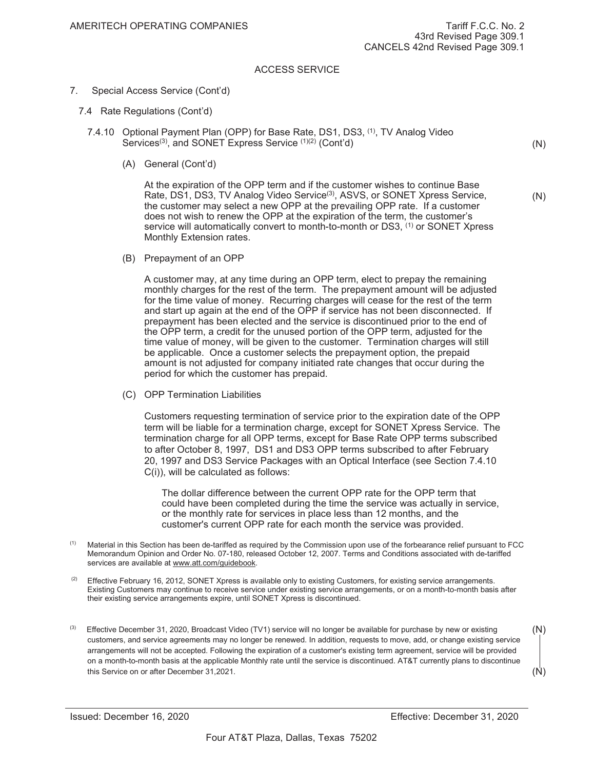- 7. Special Access Service (Cont'd)
	- 7.4 Rate Regulations (Cont'd)
		- 7.4.10 Optional Payment Plan (OPP) for Base Rate, DS1, DS3, <sup>(1)</sup>, TV Analog Video Services<sup>(3)</sup>, and SONET Express Service <sup>(1)(2)</sup> (Cont'd)
			- (A) General (Cont'd)

At the expiration of the OPP term and if the customer wishes to continue Base Rate, DS1, DS3, TV Analog Video Service<sup>(3)</sup>, ASVS, or SONET Xpress Service, the customer may select a new OPP at the prevailing OPP rate. If a customer does not wish to renew the OPP at the expiration of the term, the customer's service will automatically convert to month-to-month or DS3, <sup>(1)</sup> or SONET Xpress Monthly Extension rates.

(B) Prepayment of an OPP

A customer may, at any time during an OPP term, elect to prepay the remaining monthly charges for the rest of the term. The prepayment amount will be adjusted for the time value of money. Recurring charges will cease for the rest of the term and start up again at the end of the OPP if service has not been disconnected. If prepayment has been elected and the service is discontinued prior to the end of the OPP term, a credit for the unused portion of the OPP term, adjusted for the time value of money, will be given to the customer. Termination charges will still be applicable. Once a customer selects the prepayment option, the prepaid amount is not adjusted for company initiated rate changes that occur during the period for which the customer has prepaid.

(C) OPP Termination Liabilities

Customers requesting termination of service prior to the expiration date of the OPP term will be liable for a termination charge, except for SONET Xpress Service. The termination charge for all OPP terms, except for Base Rate OPP terms subscribed to after October 8, 1997, DS1 and DS3 OPP terms subscribed to after February 20, 1997 and DS3 Service Packages with an Optical Interface (see Section 7.4.10 C(i)), will be calculated as follows:

The dollar difference between the current OPP rate for the OPP term that could have been completed during the time the service was actually in service, or the monthly rate for services in place less than 12 months, and the customer's current OPP rate for each month the service was provided.

- <sup>(1)</sup> Material in this Section has been de-tariffed as required by the Commission upon use of the forbearance relief pursuant to FCC Memorandum Opinion and Order No. 07-180, released October 12, 2007. Terms and Conditions associated with de-tariffed services are available at www.att.com/guidebook.
- $(2)$  Effective February 16, 2012, SONET Xpress is available only to existing Customers, for existing service arrangements. Existing Customers may continue to receive service under existing service arrangements, or on a month-to-month basis after their existing service arrangements expire, until SONET Xpress is discontinued.
- Effective December 31, 2020, Broadcast Video (TV1) service will no longer be available for purchase by new or existing customers, and service agreements may no longer be renewed. In addition, requests to move, add, or change existing service arrangements will not be accepted. Following the expiration of a customer's existing term agreement, service will be provided on a month-to-month basis at the applicable Monthly rate until the service is discontinued. AT&T currently plans to discontinue this Service on or after December 31,2021.  $(N)$ (N)

(N)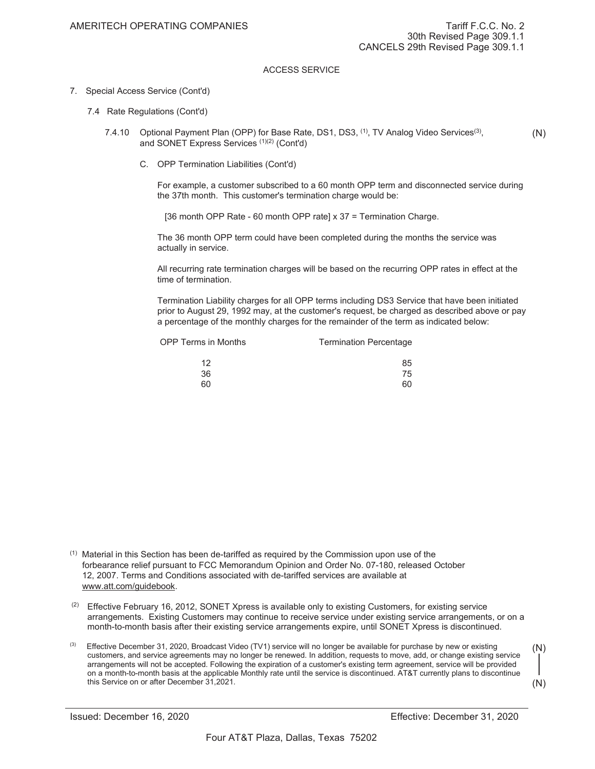#### 7. Special Access Service (Cont'd)

- 7.4 Rate Regulations (Cont'd)
	- 7.4.10 Optional Payment Plan (OPP) for Base Rate, DS1, DS3, <sup>(1)</sup>, TV Analog Video Services<sup>(3)</sup>, and SONET Express Services (1)(2) (Cont'd) (N)
		- C. OPP Termination Liabilities (Cont'd)

For example, a customer subscribed to a 60 month OPP term and disconnected service during the 37th month. This customer's termination charge would be:

[36 month OPP Rate - 60 month OPP rate] x 37 = Termination Charge.

The 36 month OPP term could have been completed during the months the service was actually in service.

All recurring rate termination charges will be based on the recurring OPP rates in effect at the time of termination.

Termination Liability charges for all OPP terms including DS3 Service that have been initiated prior to August 29, 1992 may, at the customer's request, be charged as described above or pay a percentage of the monthly charges for the remainder of the term as indicated below:

| <b>OPP Terms in Months</b> | <b>Termination Percentage</b> |
|----------------------------|-------------------------------|
| 12                         | 85                            |
| 36                         | 75                            |
| 6በ                         | 60                            |

 $(1)$  Material in this Section has been de-tariffed as required by the Commission upon use of the forbearance relief pursuant to FCC Memorandum Opinion and Order No. 07-180, released October 12, 2007. Terms and Conditions associated with de-tariffed services are available at www.att.com/guidebook.

- $(2)$  Effective February 16, 2012, SONET Xpress is available only to existing Customers, for existing service arrangements. Existing Customers may continue to receive service under existing service arrangements, or on a month-to-month basis after their existing service arrangements expire, until SONET Xpress is discontinued.
- $<sup>(3)</sup>$  Effective December 31, 2020, Broadcast Video (TV1) service will no longer be available for purchase by new or existing</sup> customers, and service agreements may no longer be renewed. In addition, requests to move, add, or change existing service arrangements will not be accepted. Following the expiration of a customer's existing term agreement, service will be provided on a month-to-month basis at the applicable Monthly rate until the service is discontinued. AT&T currently plans to discontinue this Service on or after December 31, 2021. (N)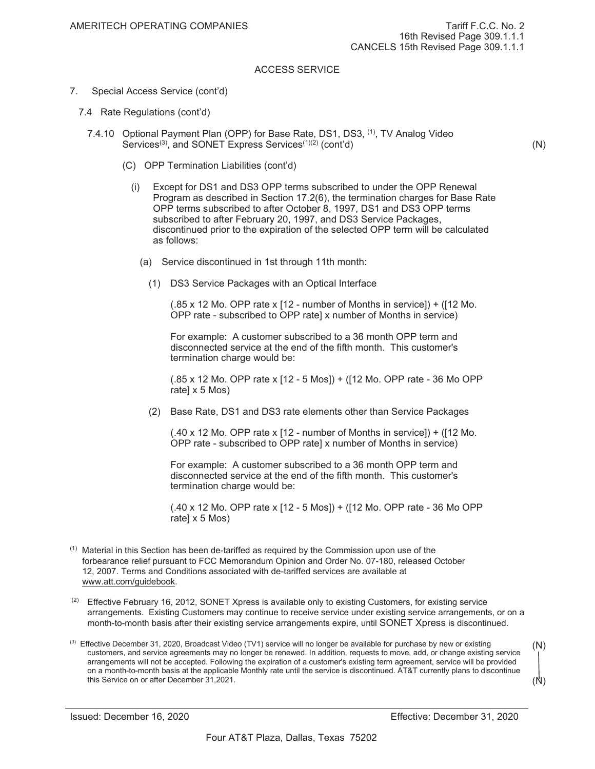- 7. Special Access Service (cont'd)
	- 7.4 Rate Regulations (cont'd)
		- 7.4.10 Optional Payment Plan (OPP) for Base Rate, DS1, DS3, <sup>(1)</sup>, TV Analog Video Services<sup>(3)</sup>, and SONET Express Services<sup>(1)(2)</sup> (cont'd)
			- (C) OPP Termination Liabilities (cont'd)
				- (i) Except for DS1 and DS3 OPP terms subscribed to under the OPP Renewal Program as described in Section 17.2(6), the termination charges for Base Rate OPP terms subscribed to after October 8, 1997, DS1 and DS3 OPP terms subscribed to after February 20, 1997, and DS3 Service Packages, discontinued prior to the expiration of the selected OPP term will be calculated as follows:
					- (a) Service discontinued in 1st through 11th month:
						- (1) DS3 Service Packages with an Optical Interface

(.85 x 12 Mo. OPP rate x [12 - number of Months in service]) + ([12 Mo. OPP rate - subscribed to OPP rate] x number of Months in service)

For example: A customer subscribed to a 36 month OPP term and disconnected service at the end of the fifth month. This customer's termination charge would be:

(.85 x 12 Mo. OPP rate x [12 - 5 Mos]) + ([12 Mo. OPP rate - 36 Mo OPP rate] x 5 Mos)

(2) Base Rate, DS1 and DS3 rate elements other than Service Packages

(.40 x 12 Mo. OPP rate x [12 - number of Months in service]) + ([12 Mo. OPP rate - subscribed to OPP rate] x number of Months in service)

For example: A customer subscribed to a 36 month OPP term and disconnected service at the end of the fifth month. This customer's termination charge would be:

(.40 x 12 Mo. OPP rate x [12 - 5 Mos]) + ([12 Mo. OPP rate - 36 Mo OPP rate] x 5 Mos)

- $<sup>(1)</sup>$  Material in this Section has been de-tariffed as required by the Commission upon use of the</sup> forbearance relief pursuant to FCC Memorandum Opinion and Order No. 07-180, released October 12, 2007. Terms and Conditions associated with de-tariffed services are available at www.att.com/guidebook.
- $(2)$  Effective February 16, 2012, SONET Xpress is available only to existing Customers, for existing service arrangements. Existing Customers may continue to receive service under existing service arrangements, or on a month-to-month basis after their existing service arrangements expire, until SONET Xpress is discontinued.
- $<sup>(3)</sup>$  Effective December 31, 2020, Broadcast Video (TV1) service will no longer be available for purchase by new or existing</sup> customers, and service agreements may no longer be renewed. In addition, requests to move, add, or change existing service arrangements will not be accepted. Following the expiration of a customer's existing term agreement, service will be provided on a month-to-month basis at the applicable Monthly rate until the service is discontinued. AT&T currently plans to discontinue this Service on or after December 31, 2021. (N)

(N)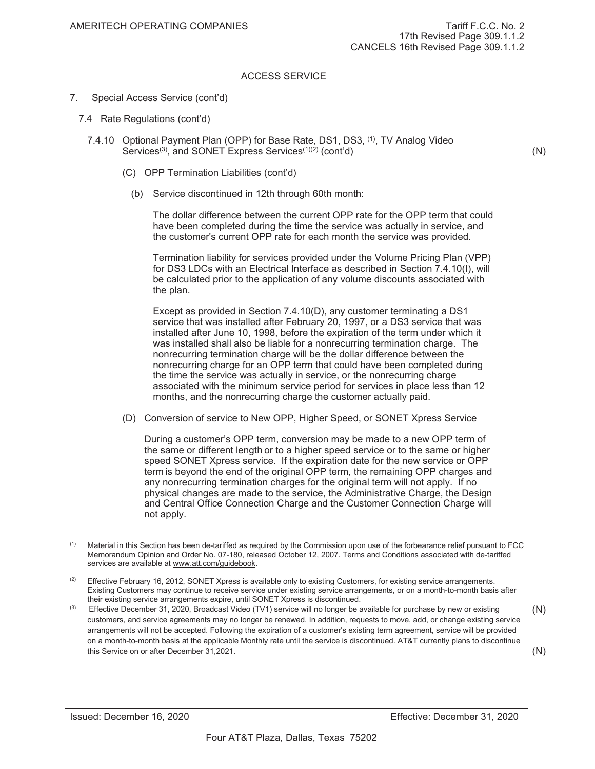- 7. Special Access Service (cont'd)
	- 7.4 Rate Regulations (cont'd)
		- 7.4.10 Optional Payment Plan (OPP) for Base Rate, DS1, DS3, (1), TV Analog Video Services<sup>(3)</sup>, and SONET Express Services<sup>(1)(2)</sup> (cont'd)
			- (C) OPP Termination Liabilities (cont'd)
				- (b) Service discontinued in 12th through 60th month:

The dollar difference between the current OPP rate for the OPP term that could have been completed during the time the service was actually in service, and the customer's current OPP rate for each month the service was provided.

Termination liability for services provided under the Volume Pricing Plan (VPP) for DS3 LDCs with an Electrical Interface as described in Section 7.4.10(I), will be calculated prior to the application of any volume discounts associated with the plan.

Except as provided in Section 7.4.10(D), any customer terminating a DS1 service that was installed after February 20, 1997, or a DS3 service that was installed after June 10, 1998, before the expiration of the term under which it was installed shall also be liable for a nonrecurring termination charge. The nonrecurring termination charge will be the dollar difference between the nonrecurring charge for an OPP term that could have been completed during the time the service was actually in service, or the nonrecurring charge associated with the minimum service period for services in place less than 12 months, and the nonrecurring charge the customer actually paid.

(D) Conversion of service to New OPP, Higher Speed, or SONET Xpress Service

During a customer's OPP term, conversion may be made to a new OPP term of the same or different length or to a higher speed service or to the same or higher speed SONET Xpress service. If the expiration date for the new service or OPP term is beyond the end of the original OPP term, the remaining OPP charges and any nonrecurring termination charges for the original term will not apply. If no physical changes are made to the service, the Administrative Charge, the Design and Central Office Connection Charge and the Customer Connection Charge will not apply.

- (1) Material in this Section has been de-tariffed as required by the Commission upon use of the forbearance relief pursuant to FCC Memorandum Opinion and Order No. 07-180, released October 12, 2007. Terms and Conditions associated with de-tariffed services are available at www.att.com/guidebook.
- $(2)$  Effective February 16, 2012, SONET Xpress is available only to existing Customers, for existing service arrangements. Existing Customers may continue to receive service under existing service arrangements, or on a month-to-month basis after their existing service arrangements expire, until SONET Xpress is discontinued.
- Effective December 31, 2020, Broadcast Video (TV1) service will no longer be available for purchase by new or existing customers, and service agreements may no longer be renewed. In addition, requests to move, add, or change existing service arrangements will not be accepted. Following the expiration of a customer's existing term agreement, service will be provided on a month-to-month basis at the applicable Monthly rate until the service is discontinued. AT&T currently plans to discontinue this Service on or after December 31, 2021.

(N)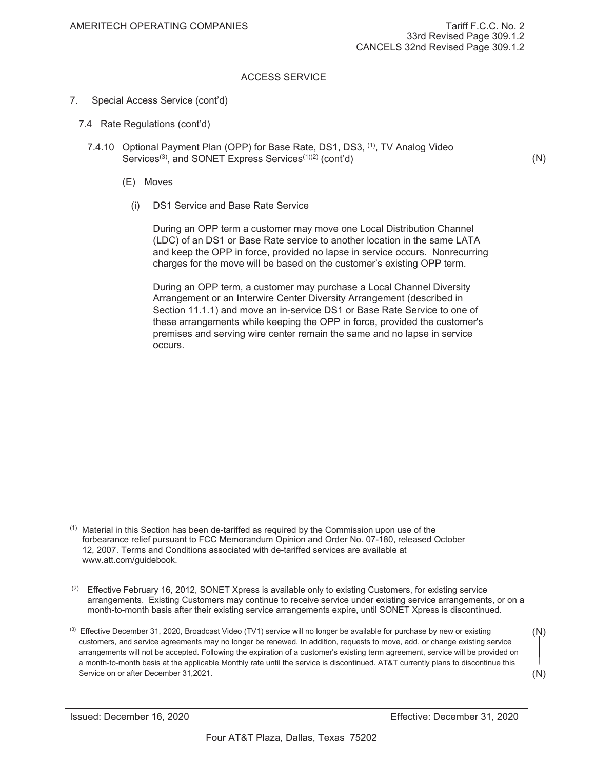- 7. Special Access Service (cont'd)
	- 7.4 Rate Regulations (cont'd)
		- 7.4.10 Optional Payment Plan (OPP) for Base Rate, DS1, DS3, (1), TV Analog Video Services<sup>(3)</sup>, and SONET Express Services<sup>(1)(2)</sup> (cont'd)
			- (E) Moves
				- (i) DS1 Service and Base Rate Service

During an OPP term a customer may move one Local Distribution Channel (LDC) of an DS1 or Base Rate service to another location in the same LATA and keep the OPP in force, provided no lapse in service occurs. Nonrecurring charges for the move will be based on the customer's existing OPP term.

During an OPP term, a customer may purchase a Local Channel Diversity Arrangement or an Interwire Center Diversity Arrangement (described in Section 11.1.1) and move an in-service DS1 or Base Rate Service to one of these arrangements while keeping the OPP in force, provided the customer's premises and serving wire center remain the same and no lapse in service occurs.

- $<sup>(1)</sup>$  Material in this Section has been de-tariffed as required by the Commission upon use of the</sup> forbearance relief pursuant to FCC Memorandum Opinion and Order No. 07-180, released October 12, 2007. Terms and Conditions associated with de-tariffed services are available at www.att.com/guidebook.
- $(2)$  Effective February 16, 2012, SONET Xpress is available only to existing Customers, for existing service arrangements. Existing Customers may continue to receive service under existing service arrangements, or on a month-to-month basis after their existing service arrangements expire, until SONET Xpress is discontinued.
- <sup>(3)</sup> Effective December 31, 2020, Broadcast Video (TV1) service will no longer be available for purchase by new or existing customers, and service agreements may no longer be renewed. In addition, requests to move, add, or change existing service arrangements will not be accepted. Following the expiration of a customer's existing term agreement, service will be provided on a month-to-month basis at the applicable Monthly rate until the service is discontinued. AT&T currently plans to discontinue this Service on or after December 31, 2021. (N)

(N)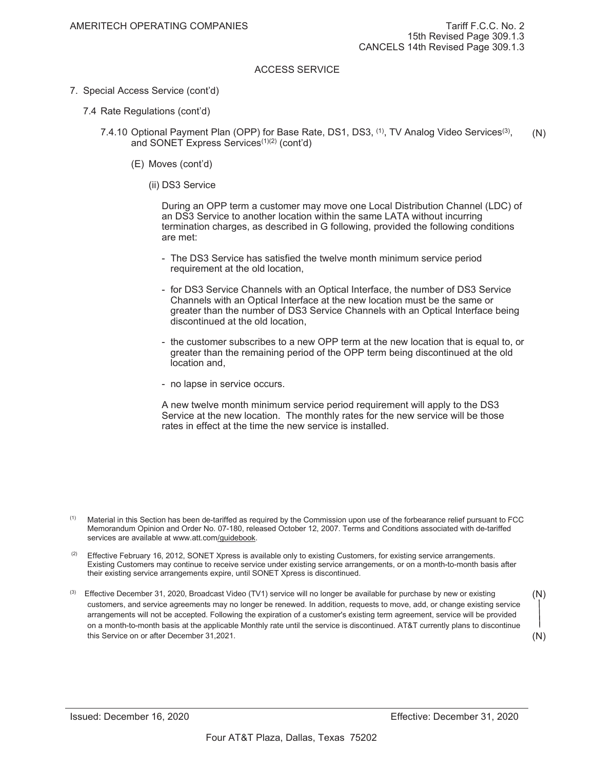- 7. Special Access Service (cont'd)
	- 7.4 Rate Regulations (cont'd)
		- 7.4.10 Optional Payment Plan (OPP) for Base Rate, DS1, DS3, <sup>(1)</sup>, TV Analog Video Services<sup>(3)</sup>, and SONET Express Services<sup>(1)(2)</sup> (cont'd) (N)
			- (E) Moves (cont'd)
				- (ii) DS3 Service

During an OPP term a customer may move one Local Distribution Channel (LDC) of an DS3 Service to another location within the same LATA without incurring termination charges, as described in G following, provided the following conditions are met:

- The DS3 Service has satisfied the twelve month minimum service period requirement at the old location,
- for DS3 Service Channels with an Optical Interface, the number of DS3 Service Channels with an Optical Interface at the new location must be the same or greater than the number of DS3 Service Channels with an Optical Interface being discontinued at the old location,
- the customer subscribes to a new OPP term at the new location that is equal to, or greater than the remaining period of the OPP term being discontinued at the old location and,
- no lapse in service occurs.

A new twelve month minimum service period requirement will apply to the DS3 Service at the new location. The monthly rates for the new service will be those rates in effect at the time the new service is installed.

 $<sup>(1)</sup>$  Material in this Section has been de-tariffed as required by the Commission upon use of the forbearance relief pursuant to FCC</sup> Memorandum Opinion and Order No. 07-180, released October 12, 2007. Terms and Conditions associated with de-tariffed services are available at www.att.com/guidebook.

- $(2)$  Effective February 16, 2012, SONET Xpress is available only to existing Customers, for existing service arrangements. Existing Customers may continue to receive service under existing service arrangements, or on a month-to-month basis after their existing service arrangements expire, until SONET Xpress is discontinued.
- Effective December 31, 2020, Broadcast Video (TV1) service will no longer be available for purchase by new or existing customers, and service agreements may no longer be renewed. In addition, requests to move, add, or change existing service arrangements will not be accepted. Following the expiration of a customer's existing term agreement, service will be provided on a month-to-month basis at the applicable Monthly rate until the service is discontinued. AT&T currently plans to discontinue this Service on or after December 31, 2021. (N)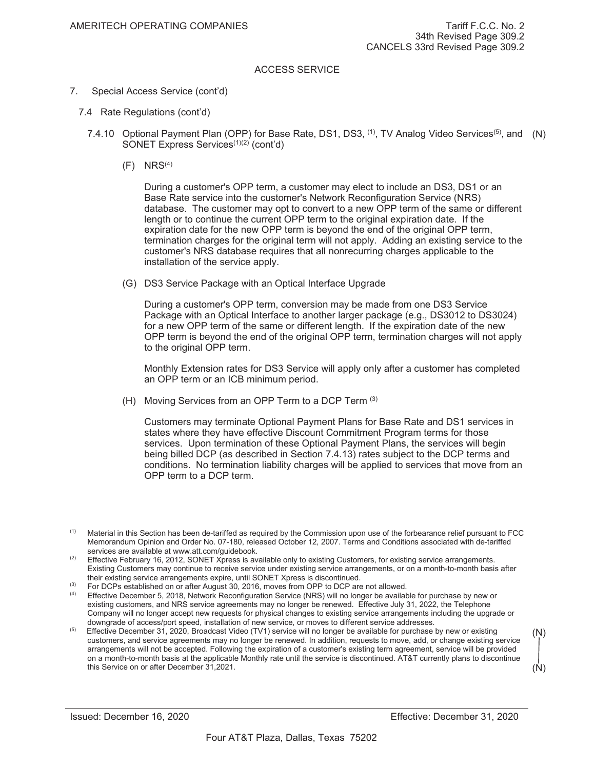- 7. Special Access Service (cont'd)
	- 7.4 Rate Regulations (cont'd)
		- 7.4.10 Optional Payment Plan (OPP) for Base Rate, DS1, DS3, <sup>(1)</sup>, TV Analog Video Services<sup>(5)</sup>, and (N) SONET Express Services<sup>(1)(2)</sup> (cont'd)
			- $(F)$  NRS<sup>(4)</sup>

During a customer's OPP term, a customer may elect to include an DS3, DS1 or an Base Rate service into the customer's Network Reconfiguration Service (NRS) database. The customer may opt to convert to a new OPP term of the same or different length or to continue the current OPP term to the original expiration date. If the expiration date for the new OPP term is beyond the end of the original OPP term, termination charges for the original term will not apply. Adding an existing service to the customer's NRS database requires that all nonrecurring charges applicable to the installation of the service apply.

(G) DS3 Service Package with an Optical Interface Upgrade

During a customer's OPP term, conversion may be made from one DS3 Service Package with an Optical Interface to another larger package (e.g., DS3012 to DS3024) for a new OPP term of the same or different length. If the expiration date of the new OPP term is beyond the end of the original OPP term, termination charges will not apply to the original OPP term.

Monthly Extension rates for DS3 Service will apply only after a customer has completed an OPP term or an ICB minimum period.

(H) Moving Services from an OPP Term to a DCP Term (3)

Customers may terminate Optional Payment Plans for Base Rate and DS1 services in states where they have effective Discount Commitment Program terms for those services. Upon termination of these Optional Payment Plans, the services will begin being billed DCP (as described in Section 7.4.13) rates subject to the DCP terms and conditions. No termination liability charges will be applied to services that move from an OPP term to a DCP term.

(3) For DCPs established on or after August 30, 2016, moves from OPP to DCP are not allowed.

 $<sup>(1)</sup>$  Material in this Section has been de-tariffed as required by the Commission upon use of the forbearance relief pursuant to FCC</sup> Memorandum Opinion and Order No. 07-180, released October 12, 2007. Terms and Conditions associated with de-tariffed services are available at www.att.com/guidebook.

 $(2)$  Effective February 16, 2012, SONET Xpress is available only to existing Customers, for existing service arrangements. Existing Customers may continue to receive service under existing service arrangements, or on a month-to-month basis after their existing service arrangements expire, until SONET Xpress is discontinued.

<sup>&</sup>lt;sup>(4)</sup> Effective December 5, 2018, Network Reconfiguration Service (NRS) will no longer be available for purchase by new or existing customers, and NRS service agreements may no longer be renewed. Effective July 31, 2022, the Telephone Company will no longer accept new requests for physical changes to existing service arrangements including the upgrade or downgrade of access/port speed, installation of new service, or moves to different service addresses.

Effective December 31, 2020, Broadcast Video (TV1) service will no longer be available for purchase by new or existing customers, and service agreements may no longer be renewed. In addition, requests to move, add, or change existing service arrangements will not be accepted. Following the expiration of a customer's existing term agreement, service will be provided on a month-to-month basis at the applicable Monthly rate until the service is discontinued. AT&T currently plans to discontinue this Service on or after December 31, 2021.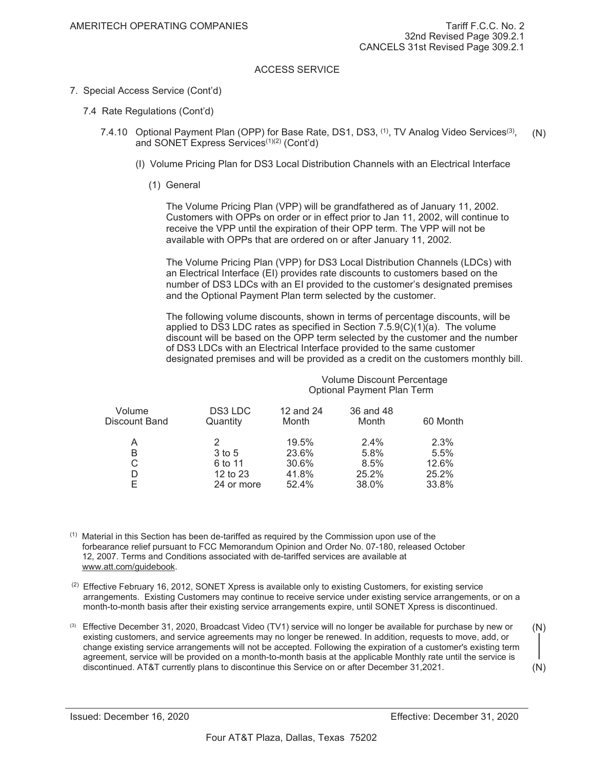- 7. Special Access Service (Cont'd)
	- 7.4 Rate Regulations (Cont'd)
		- 7.4.10 Optional Payment Plan (OPP) for Base Rate, DS1, DS3, <sup>(1)</sup>, TV Analog Video Services<sup>(3)</sup>, and SONET Express Services<sup>(1)(2)</sup> (Cont'd) (N)
			- (I) Volume Pricing Plan for DS3 Local Distribution Channels with an Electrical Interface
				- (1) General

The Volume Pricing Plan (VPP) will be grandfathered as of January 11, 2002. Customers with OPPs on order or in effect prior to Jan 11, 2002, will continue to receive the VPP until the expiration of their OPP term. The VPP will not be available with OPPs that are ordered on or after January 11, 2002.

The Volume Pricing Plan (VPP) for DS3 Local Distribution Channels (LDCs) with an Electrical Interface (EI) provides rate discounts to customers based on the number of DS3 LDCs with an EI provided to the customer's designated premises and the Optional Payment Plan term selected by the customer.

The following volume discounts, shown in terms of percentage discounts, will be applied to DS3 LDC rates as specified in Section  $7.5.9(C)(1)(a)$ . The volume discount will be based on the OPP term selected by the customer and the number of DS3 LDCs with an Electrical Interface provided to the same customer designated premises and will be provided as a credit on the customers monthly bill.

| Volume Discount Percentage |
|----------------------------|
| Optional Payment Plan Term |

| Volume<br>Discount Band | DS3 LDC<br>Quantity | 12 and 24<br>Month | 36 and 48<br>Month | 60 Month |
|-------------------------|---------------------|--------------------|--------------------|----------|
| A                       | 2                   | 19.5%              | $2.4\%$            | 2.3%     |
| B                       | 3 to 5              | 23.6%              | 5.8%               | 5.5%     |
| С                       | 6 to 11             | 30.6%              | 8.5%               | 12.6%    |
|                         | 12 to $23$          | 41.8%              | 25.2%              | 25.2%    |
|                         | 24 or more          | 52.4%              | 38.0%              | 33.8%    |

 $<sup>(1)</sup>$  Material in this Section has been de-tariffed as required by the Commission upon use of the</sup> forbearance relief pursuant to FCC Memorandum Opinion and Order No. 07-180, released October 12, 2007. Terms and Conditions associated with de-tariffed services are available at www.att.com/guidebook.

 $(2)$  Effective February 16, 2012, SONET Xpress is available only to existing Customers, for existing service arrangements. Existing Customers may continue to receive service under existing service arrangements, or on a month-to-month basis after their existing service arrangements expire, until SONET Xpress is discontinued.

<sup>(3)</sup> Effective December 31, 2020, Broadcast Video (TV1) service will no longer be available for purchase by new or existing customers, and service agreements may no longer be renewed. In addition, requests to move, add, or change existing service arrangements will not be accepted. Following the expiration of a customer's existing term agreement, service will be provided on a month-to-month basis at the applicable Monthly rate until the service is discontinued. AT&T currently plans to discontinue this Service on or after December 31, 2021. (N) (N)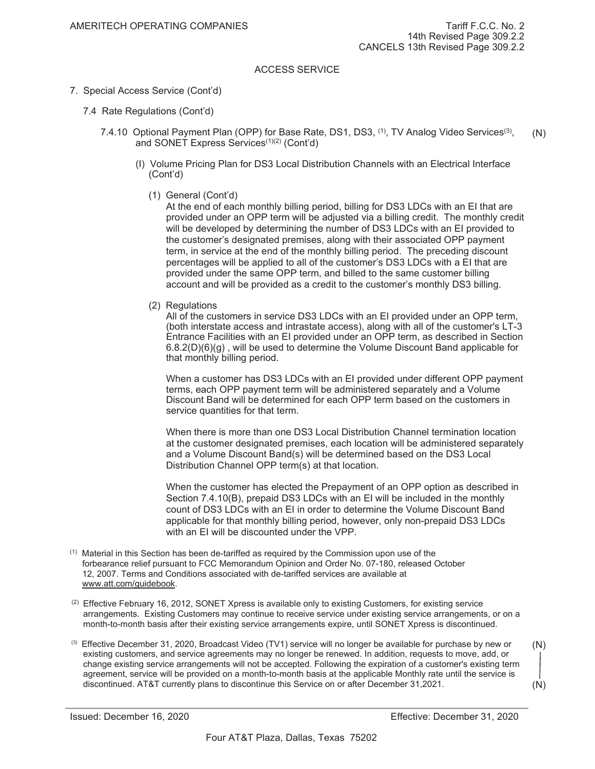- 7. Special Access Service (Cont'd)
	- 7.4 Rate Regulations (Cont'd)
		- 7.4.10 Optional Payment Plan (OPP) for Base Rate, DS1, DS3, <sup>(1)</sup>, TV Analog Video Services<sup>(3)</sup>, and SONET Express Services<sup>(1)(2)</sup> (Cont'd) (N)
			- (I) Volume Pricing Plan for DS3 Local Distribution Channels with an Electrical Interface (Cont'd)
				- (1) General (Cont'd)

At the end of each monthly billing period, billing for DS3 LDCs with an EI that are provided under an OPP term will be adjusted via a billing credit. The monthly credit will be developed by determining the number of DS3 LDCs with an EI provided to the customer's designated premises, along with their associated OPP payment term, in service at the end of the monthly billing period. The preceding discount percentages will be applied to all of the customer's DS3 LDCs with a EI that are provided under the same OPP term, and billed to the same customer billing account and will be provided as a credit to the customer's monthly DS3 billing.

(2) Regulations

All of the customers in service DS3 LDCs with an EI provided under an OPP term, (both interstate access and intrastate access), along with all of the customer's LT-3 Entrance Facilities with an EI provided under an OPP term, as described in Section  $6.8.2(D)(6)(g)$ , will be used to determine the Volume Discount Band applicable for that monthly billing period.

When a customer has DS3 LDCs with an EI provided under different OPP payment terms, each OPP payment term will be administered separately and a Volume Discount Band will be determined for each OPP term based on the customers in service quantities for that term.

When there is more than one DS3 Local Distribution Channel termination location at the customer designated premises, each location will be administered separately and a Volume Discount Band(s) will be determined based on the DS3 Local Distribution Channel OPP term(s) at that location.

When the customer has elected the Prepayment of an OPP option as described in Section 7.4.10(B), prepaid DS3 LDCs with an EI will be included in the monthly count of DS3 LDCs with an EI in order to determine the Volume Discount Band applicable for that monthly billing period, however, only non-prepaid DS3 LDCs with an EI will be discounted under the VPP.

- $<sup>(1)</sup>$  Material in this Section has been de-tariffed as required by the Commission upon use of the</sup> forbearance relief pursuant to FCC Memorandum Opinion and Order No. 07-180, released October 12, 2007. Terms and Conditions associated with de-tariffed services are available at www.att.com/guidebook.
- $(2)$  Effective February 16, 2012, SONET Xpress is available only to existing Customers, for existing service arrangements. Existing Customers may continue to receive service under existing service arrangements, or on a month-to-month basis after their existing service arrangements expire, until SONET Xpress is discontinued.
- <sup>(3)</sup> Effective December 31, 2020, Broadcast Video (TV1) service will no longer be available for purchase by new or existing customers, and service agreements may no longer be renewed. In addition, requests to move, add, or change existing service arrangements will not be accepted. Following the expiration of a customer's existing term agreement, service will be provided on a month-to-month basis at the applicable Monthly rate until the service is discontinued. AT&T currently plans to discontinue this Service on or after December 31, 2021. (N)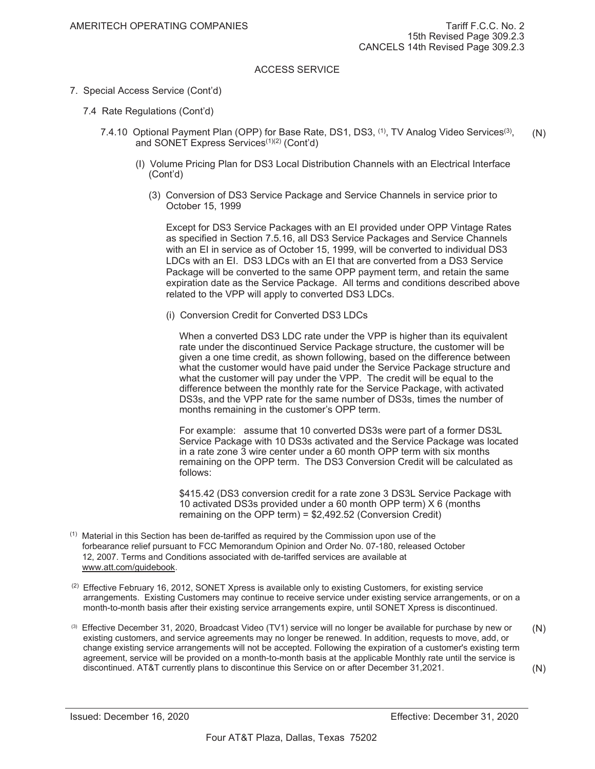- 7. Special Access Service (Cont'd)
	- 7.4 Rate Regulations (Cont'd)
		- 7.4.10 Optional Payment Plan (OPP) for Base Rate, DS1, DS3, <sup>(1)</sup>, TV Analog Video Services<sup>(3)</sup>, and SONET Express Services<sup>(1)(2)</sup> (Cont'd) (N)
			- (I) Volume Pricing Plan for DS3 Local Distribution Channels with an Electrical Interface (Cont'd)
				- (3) Conversion of DS3 Service Package and Service Channels in service prior to October 15, 1999

Except for DS3 Service Packages with an EI provided under OPP Vintage Rates as specified in Section 7.5.16, all DS3 Service Packages and Service Channels with an EI in service as of October 15, 1999, will be converted to individual DS3 LDCs with an EI. DS3 LDCs with an EI that are converted from a DS3 Service Package will be converted to the same OPP payment term, and retain the same expiration date as the Service Package. All terms and conditions described above related to the VPP will apply to converted DS3 LDCs.

(i) Conversion Credit for Converted DS3 LDCs

When a converted DS3 LDC rate under the VPP is higher than its equivalent rate under the discontinued Service Package structure, the customer will be given a one time credit, as shown following, based on the difference between what the customer would have paid under the Service Package structure and what the customer will pay under the VPP. The credit will be equal to the difference between the monthly rate for the Service Package, with activated DS3s, and the VPP rate for the same number of DS3s, times the number of months remaining in the customer's OPP term.

For example: assume that 10 converted DS3s were part of a former DS3L Service Package with 10 DS3s activated and the Service Package was located in a rate zone 3 wire center under a 60 month OPP term with six months remaining on the OPP term. The DS3 Conversion Credit will be calculated as follows:

\$415.42 (DS3 conversion credit for a rate zone 3 DS3L Service Package with 10 activated DS3s provided under a 60 month OPP term) X 6 (months remaining on the OPP term) = \$2,492.52 (Conversion Credit)

- $<sup>(1)</sup>$  Material in this Section has been de-tariffed as required by the Commission upon use of the</sup> forbearance relief pursuant to FCC Memorandum Opinion and Order No. 07-180, released October 12, 2007. Terms and Conditions associated with de-tariffed services are available at www.att.com/guidebook.
- $(2)$  Effective February 16, 2012, SONET Xpress is available only to existing Customers, for existing service arrangements. Existing Customers may continue to receive service under existing service arrangements, or on a month-to-month basis after their existing service arrangements expire, until SONET Xpress is discontinued.
- <sup>(3)</sup> Effective December 31, 2020, Broadcast Video (TV1) service will no longer be available for purchase by new or existing customers, and service agreements may no longer be renewed. In addition, requests to move, add, or change existing service arrangements will not be accepted. Following the expiration of a customer's existing term agreement, service will be provided on a month-to-month basis at the applicable Monthly rate until the service is discontinued. AT&T currently plans to discontinue this Service on or after December 31, 2021. (N) (N)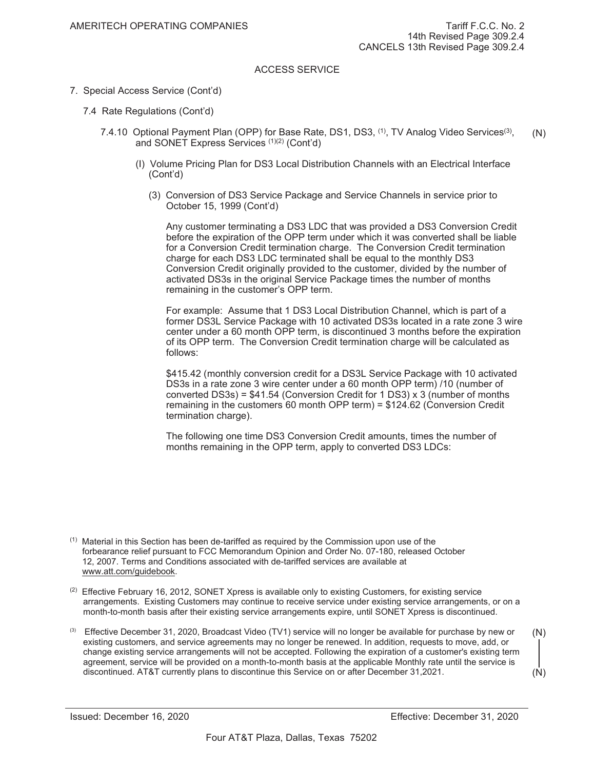- 7. Special Access Service (Cont'd)
	- 7.4 Rate Regulations (Cont'd)
		- 7.4.10 Optional Payment Plan (OPP) for Base Rate, DS1, DS3, <sup>(1)</sup>, TV Analog Video Services<sup>(3)</sup>, and SONET Express Services (1)(2) (Cont'd) (N)
			- (I) Volume Pricing Plan for DS3 Local Distribution Channels with an Electrical Interface (Cont'd)
				- (3) Conversion of DS3 Service Package and Service Channels in service prior to October 15, 1999 (Cont'd)

Any customer terminating a DS3 LDC that was provided a DS3 Conversion Credit before the expiration of the OPP term under which it was converted shall be liable for a Conversion Credit termination charge. The Conversion Credit termination charge for each DS3 LDC terminated shall be equal to the monthly DS3 Conversion Credit originally provided to the customer, divided by the number of activated DS3s in the original Service Package times the number of months remaining in the customer's OPP term.

For example: Assume that 1 DS3 Local Distribution Channel, which is part of a former DS3L Service Package with 10 activated DS3s located in a rate zone 3 wire center under a 60 month OPP term, is discontinued 3 months before the expiration of its OPP term. The Conversion Credit termination charge will be calculated as follows:

\$415.42 (monthly conversion credit for a DS3L Service Package with 10 activated DS3s in a rate zone 3 wire center under a 60 month OPP term) /10 (number of converted DS3s) =  $$41.54$  (Conversion Credit for 1 DS3) x 3 (number of months remaining in the customers 60 month OPP term) = \$124.62 (Conversion Credit termination charge).

The following one time DS3 Conversion Credit amounts, times the number of months remaining in the OPP term, apply to converted DS3 LDCs:

- $(2)$  Effective February 16, 2012, SONET Xpress is available only to existing Customers, for existing service arrangements. Existing Customers may continue to receive service under existing service arrangements, or on a month-to-month basis after their existing service arrangements expire, until SONET Xpress is discontinued.
- $(3)$  Effective December 31, 2020, Broadcast Video (TV1) service will no longer be available for purchase by new or existing customers, and service agreements may no longer be renewed. In addition, requests to move, add, or change existing service arrangements will not be accepted. Following the expiration of a customer's existing term agreement, service will be provided on a month-to-month basis at the applicable Monthly rate until the service is discontinued. AT&T currently plans to discontinue this Service on or after December 31, 2021. (N) (N)

 $<sup>(1)</sup>$  Material in this Section has been de-tariffed as required by the Commission upon use of the</sup> forbearance relief pursuant to FCC Memorandum Opinion and Order No. 07-180, released October 12, 2007. Terms and Conditions associated with de-tariffed services are available at www.att.com/guidebook.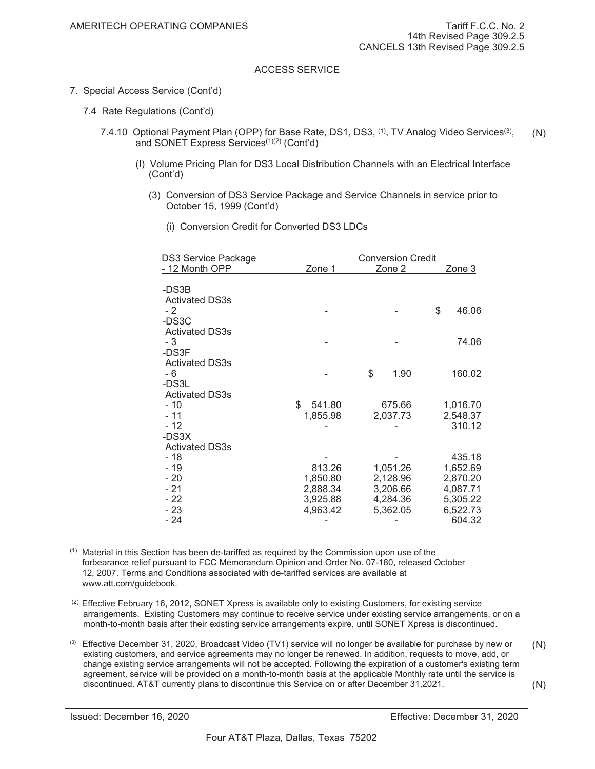- 7. Special Access Service (Cont'd)
	- 7.4 Rate Regulations (Cont'd)
		- 7.4.10 Optional Payment Plan (OPP) for Base Rate, DS1, DS3, <sup>(1)</sup>, TV Analog Video Services<sup>(3)</sup>, and SONET Express Services<sup>(1)(2)</sup> (Cont'd) (N)
			- (I) Volume Pricing Plan for DS3 Local Distribution Channels with an Electrical Interface (Cont'd)
				- (3) Conversion of DS3 Service Package and Service Channels in service prior to October 15, 1999 (Cont'd)
					- (i) Conversion Credit for Converted DS3 LDCs

| <b>DS3 Service Package</b>                      |                                | <b>Conversion Credit</b>         |                                  |
|-------------------------------------------------|--------------------------------|----------------------------------|----------------------------------|
| - 12 Month OPP                                  | Zone 1                         | Zone 2                           | Zone 3                           |
| -DS3B<br><b>Activated DS3s</b>                  |                                |                                  |                                  |
| - 2<br>-DS3C                                    |                                |                                  | \$<br>46.06                      |
| <b>Activated DS3s</b><br>$-3$<br>-DS3F          |                                |                                  | 74.06                            |
| <b>Activated DS3s</b><br>- 6<br>-DS3L           |                                | \$<br>1.90                       | 160.02                           |
| <b>Activated DS3s</b><br>$-10$<br>$-11$<br>- 12 | \$<br>541.80<br>1,855.98       | 675.66<br>2,037.73               | 1,016.70<br>2,548.37<br>310.12   |
| -DS3X<br><b>Activated DS3s</b><br>$-18$         |                                |                                  | 435.18                           |
| - 19<br>$-20$<br>$-21$                          | 813.26<br>1,850.80<br>2,888.34 | 1,051.26<br>2,128.96<br>3,206.66 | 1,652.69<br>2,870.20<br>4,087.71 |
| $-22$<br>$-23$<br>- 24                          | 3,925.88<br>4,963.42           | 4,284.36<br>5,362.05             | 5,305.22<br>6,522.73<br>604.32   |

 $<sup>(1)</sup>$  Material in this Section has been de-tariffed as required by the Commission upon use of the</sup> forbearance relief pursuant to FCC Memorandum Opinion and Order No. 07-180, released October 12, 2007. Terms and Conditions associated with de-tariffed services are available at www.att.com/guidebook.

- $(2)$  Effective February 16, 2012, SONET Xpress is available only to existing Customers, for existing service arrangements. Existing Customers may continue to receive service under existing service arrangements, or on a month-to-month basis after their existing service arrangements expire, until SONET Xpress is discontinued.
- <sup>(3)</sup> Effective December 31, 2020, Broadcast Video (TV1) service will no longer be available for purchase by new or existing customers, and service agreements may no longer be renewed. In addition, requests to move, add, or change existing service arrangements will not be accepted. Following the expiration of a customer's existing term agreement, service will be provided on a month-to-month basis at the applicable Monthly rate until the service is discontinued. AT&T currently plans to discontinue this Service on or after December 31, 2021. (N)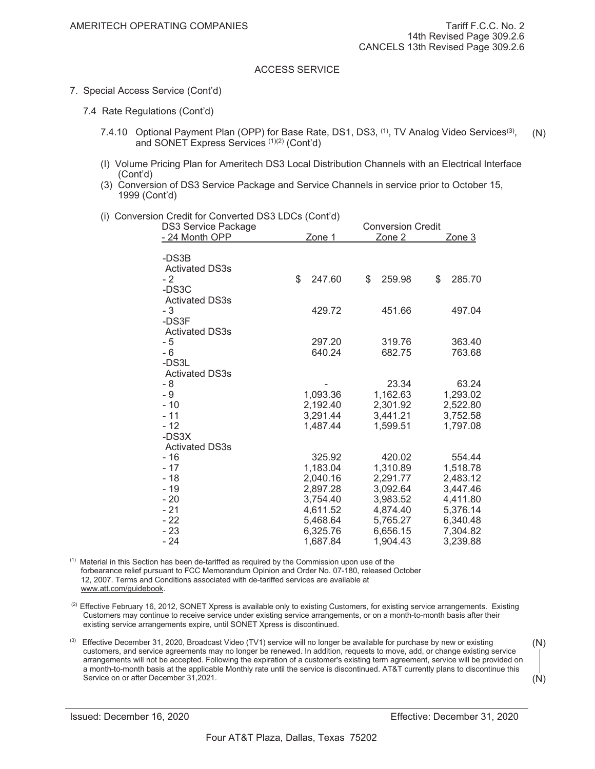- 7. Special Access Service (Cont'd)
	- 7.4 Rate Regulations (Cont'd)
		- 7.4.10 Optional Payment Plan (OPP) for Base Rate, DS1, DS3, <sup>(1)</sup>, TV Analog Video Services<sup>(3)</sup>, and SONET Express Services (1)(2) (Cont'd) (N)
		- (I) Volume Pricing Plan for Ameritech DS3 Local Distribution Channels with an Electrical Interface (Cont'd)
		- (3) Conversion of DS3 Service Package and Service Channels in service prior to October 15, 1999 (Cont'd)
		- (i) Conversion Credit for Converted DS3 LDCs (Cont'd)

| <b>DS3 Service Package</b>     |              | <b>Conversion Credit</b> |              |
|--------------------------------|--------------|--------------------------|--------------|
| - 24 Month OPP                 | Zone 1       | Zone 2                   | Zone 3       |
| -DS3B<br><b>Activated DS3s</b> |              |                          |              |
| - 2                            | \$<br>247.60 | \$<br>259.98             | \$<br>285.70 |
| -DS3C<br><b>Activated DS3s</b> |              |                          |              |
| - 3                            | 429.72       | 451.66                   | 497.04       |
| -DS3F                          |              |                          |              |
| <b>Activated DS3s</b>          |              |                          |              |
| $-5$                           | 297.20       | 319.76                   | 363.40       |
| - 6                            | 640.24       | 682.75                   | 763.68       |
| -DS3L                          |              |                          |              |
| <b>Activated DS3s</b>          |              |                          |              |
| - 8                            |              | 23.34                    | 63.24        |
| - 9                            | 1,093.36     | 1,162.63                 | 1,293.02     |
| $-10$                          | 2,192.40     | 2,301.92                 | 2,522.80     |
| $-11$                          | 3,291.44     | 3,441.21                 | 3,752.58     |
| $-12$                          | 1,487.44     | 1,599.51                 | 1,797.08     |
| -DS3X                          |              |                          |              |
| <b>Activated DS3s</b>          |              |                          |              |
| $-16$                          | 325.92       | 420.02                   | 554.44       |
| $-17$                          | 1,183.04     | 1,310.89                 | 1,518.78     |
| $-18$                          | 2,040.16     | 2,291.77                 | 2,483.12     |
| - 19                           | 2,897.28     | 3,092.64                 | 3,447.46     |
| $-20$                          | 3,754.40     | 3,983.52                 | 4,411.80     |
| - 21                           | 4,611.52     | 4,874.40                 | 5,376.14     |
| $-22$                          | 5,468.64     | 5,765.27                 | 6,340.48     |
| $-23$                          | 6,325.76     | 6,656.15                 | 7,304.82     |
| - 24                           | 1,687.84     | 1,904.43                 | 3,239.88     |

 $<sup>(1)</sup>$  Material in this Section has been de-tariffed as required by the Commission upon use of the</sup> forbearance relief pursuant to FCC Memorandum Opinion and Order No. 07-180, released October 12, 2007. Terms and Conditions associated with de-tariffed services are available at www.att.com/guidebook.

- $<sup>(2)</sup>$  Effective February 16, 2012, SONET Xpress is available only to existing Customers, for existing service arrangements. Existing</sup> Customers may continue to receive service under existing service arrangements, or on a month-to-month basis after their existing service arrangements expire, until SONET Xpress is discontinued.
- <sup>(3)</sup> Effective December 31, 2020, Broadcast Video (TV1) service will no longer be available for purchase by new or existing customers, and service agreements may no longer be renewed. In addition, requests to move, add, or change existing service arrangements will not be accepted. Following the expiration of a customer's existing term agreement, service will be provided on a month-to-month basis at the applicable Monthly rate until the service is discontinued. AT&T currently plans to discontinue this Service on or after December 31, 2021. (N)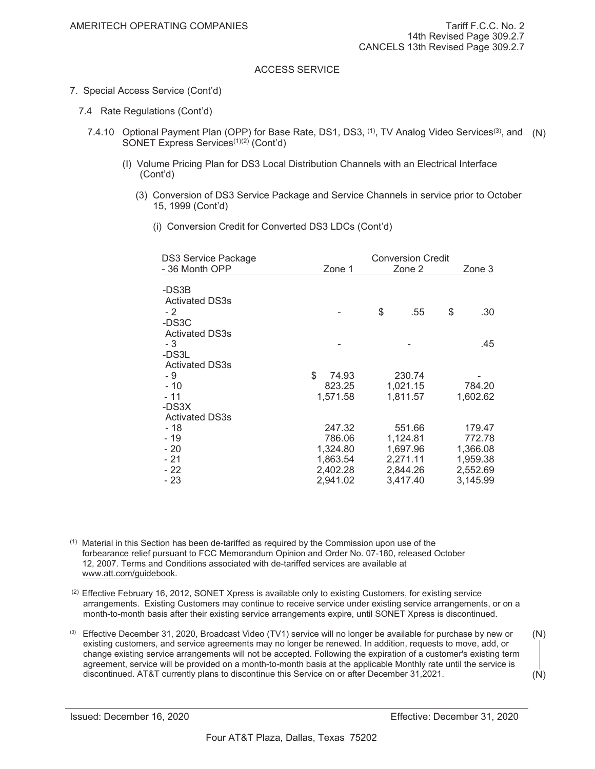- 7. Special Access Service (Cont'd)
	- 7.4 Rate Regulations (Cont'd)
		- 7.4.10 Optional Payment Plan (OPP) for Base Rate, DS1, DS3, <sup>(1)</sup>, TV Analog Video Services<sup>(3)</sup>, and (N) SONET Express Services<sup>(1)(2)</sup> (Cont'd)
			- (I) Volume Pricing Plan for DS3 Local Distribution Channels with an Electrical Interface (Cont'd)
				- (3) Conversion of DS3 Service Package and Service Channels in service prior to October 15, 1999 (Cont'd)
					- (i) Conversion Credit for Converted DS3 LDCs (Cont'd)

| <b>DS3 Service Package</b>            |                      | <b>Conversion Credit</b> |                      |    |                      |
|---------------------------------------|----------------------|--------------------------|----------------------|----|----------------------|
| - 36 Month OPP                        | Zone 1               |                          | Zone 2               |    | Zone 3               |
| -DS3B<br><b>Activated DS3s</b>        |                      |                          |                      |    |                      |
| $-2$<br>-DS3C                         |                      | \$                       | .55                  | \$ | .30                  |
| <b>Activated DS3s</b><br>- 3<br>-DS3L |                      |                          |                      |    | .45                  |
| <b>Activated DS3s</b><br>- 9          | \$<br>74.93          |                          | 230.74               |    |                      |
| $-10$<br>$-11$<br>-DS3X               | 823.25<br>1,571.58   |                          | 1,021.15<br>1,811.57 |    | 784.20<br>1,602.62   |
| <b>Activated DS3s</b>                 |                      |                          |                      |    |                      |
| - 18<br>$-19$                         | 247.32<br>786.06     |                          | 551.66<br>1,124.81   |    | 179.47<br>772.78     |
| - 20<br>$-21$                         | 1,324.80<br>1,863.54 |                          | 1,697.96<br>2,271.11 |    | 1,366.08<br>1,959.38 |
| - 22                                  | 2,402.28             |                          | 2,844.26             |    | 2,552.69             |
| - 23                                  | 2,941.02             |                          | 3,417.40             |    | 3,145.99             |

 $<sup>(1)</sup>$  Material in this Section has been de-tariffed as required by the Commission upon use of the</sup> forbearance relief pursuant to FCC Memorandum Opinion and Order No. 07-180, released October 12, 2007. Terms and Conditions associated with de-tariffed services are available at www.att.com/guidebook.

- $(2)$  Effective February 16, 2012, SONET Xpress is available only to existing Customers, for existing service arrangements. Existing Customers may continue to receive service under existing service arrangements, or on a month-to-month basis after their existing service arrangements expire, until SONET Xpress is discontinued.
- <sup>(3)</sup> Effective December 31, 2020, Broadcast Video (TV1) service will no longer be available for purchase by new or existing customers, and service agreements may no longer be renewed. In addition, requests to move, add, or change existing service arrangements will not be accepted. Following the expiration of a customer's existing term agreement, service will be provided on a month-to-month basis at the applicable Monthly rate until the service is discontinued. AT&T currently plans to discontinue this Service on or after December 31, 2021. (N) (N)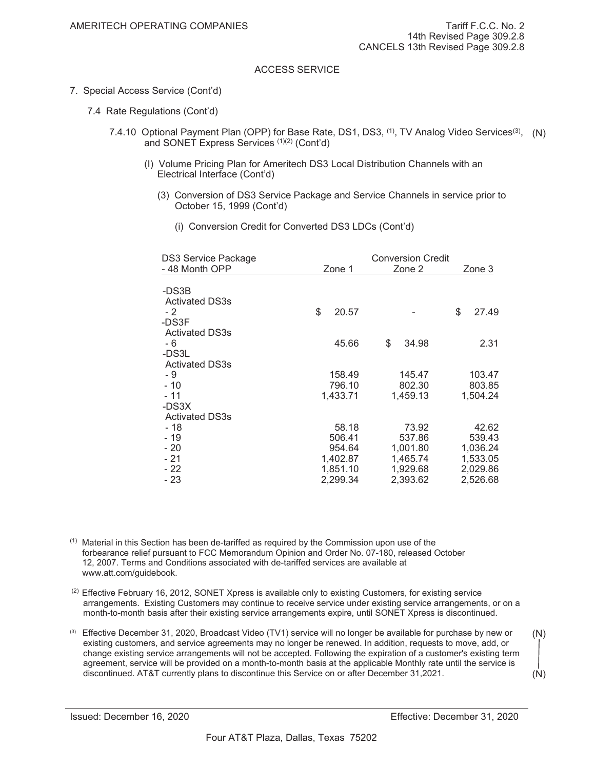- 7. Special Access Service (Cont'd)
	- 7.4 Rate Regulations (Cont'd)
		- 7.4.10 Optional Payment Plan (OPP) for Base Rate, DS1, DS3, <sup>(1)</sup>, TV Analog Video Services<sup>(3)</sup>, (N) and SONET Express Services (1)(2) (Cont'd)
			- (I) Volume Pricing Plan for Ameritech DS3 Local Distribution Channels with an Electrical Interface (Cont'd)
				- (3) Conversion of DS3 Service Package and Service Channels in service prior to October 15, 1999 (Cont'd)
					- (i) Conversion Credit for Converted DS3 LDCs (Cont'd)

| <b>DS3 Service Package</b> | <b>Conversion Credit</b> |             |             |  |
|----------------------------|--------------------------|-------------|-------------|--|
| - 48 Month OPP             | Zone 1                   | Zone 2      | Zone 3      |  |
| -DS3B                      |                          |             |             |  |
| <b>Activated DS3s</b>      |                          |             |             |  |
| $-2$                       | \$<br>20.57              |             | \$<br>27.49 |  |
| -DS3F                      |                          |             |             |  |
| <b>Activated DS3s</b>      |                          |             |             |  |
| - 6                        | 45.66                    | \$<br>34.98 | 2.31        |  |
| -DS3L                      |                          |             |             |  |
| <b>Activated DS3s</b>      |                          |             |             |  |
| - 9                        | 158.49                   | 145.47      | 103.47      |  |
| $-10$                      | 796.10                   | 802.30      | 803.85      |  |
| $-11$                      | 1,433.71                 | 1,459.13    | 1,504.24    |  |
| -DS3X                      |                          |             |             |  |
| <b>Activated DS3s</b>      |                          |             |             |  |
| - 18                       | 58.18                    | 73.92       | 42.62       |  |
| - 19                       | 506.41                   | 537.86      | 539.43      |  |
| $-20$                      | 954.64                   | 1,001.80    | 1,036.24    |  |
| $-21$                      | 1,402.87                 | 1,465.74    | 1,533.05    |  |
| $-22$                      | 1,851.10                 | 1,929.68    | 2,029.86    |  |
| $-23$                      | 2,299.34                 | 2,393.62    | 2,526.68    |  |

 $<sup>(1)</sup>$  Material in this Section has been de-tariffed as required by the Commission upon use of the</sup> forbearance relief pursuant to FCC Memorandum Opinion and Order No. 07-180, released October 12, 2007. Terms and Conditions associated with de-tariffed services are available at www.att.com/guidebook.

- $(2)$  Effective February 16, 2012, SONET Xpress is available only to existing Customers, for existing service arrangements. Existing Customers may continue to receive service under existing service arrangements, or on a month-to-month basis after their existing service arrangements expire, until SONET Xpress is discontinued.
- $(3)$  Effective December 31, 2020, Broadcast Video (TV1) service will no longer be available for purchase by new or existing customers, and service agreements may no longer be renewed. In addition, requests to move, add, or change existing service arrangements will not be accepted. Following the expiration of a customer's existing term agreement, service will be provided on a month-to-month basis at the applicable Monthly rate until the service is discontinued. AT&T currently plans to discontinue this Service on or after December 31, 2021. (N) (N)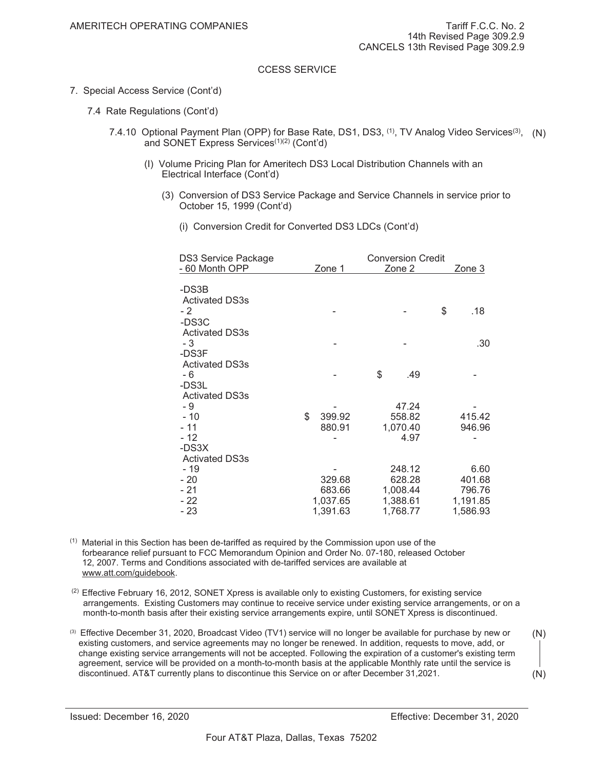- 7. Special Access Service (Cont'd)
	- 7.4 Rate Regulations (Cont'd)
		- 7.4.10 Optional Payment Plan (OPP) for Base Rate, DS1, DS3, <sup>(1)</sup>, TV Analog Video Services<sup>(3)</sup>, (N) and SONET Express Services<sup>(1)(2)</sup> (Cont'd)
			- (I) Volume Pricing Plan for Ameritech DS3 Local Distribution Channels with an Electrical Interface (Cont'd)
				- (3) Conversion of DS3 Service Package and Service Channels in service prior to October 15, 1999 (Cont'd)
					- (i) Conversion Credit for Converted DS3 LDCs (Cont'd)

| <b>DS3 Service Package</b>              |              | <b>Conversion Credit</b> |           |
|-----------------------------------------|--------------|--------------------------|-----------|
| - 60 Month OPP                          | Zone 1       | Zone 2                   | Zone 3    |
| -DS3B                                   |              |                          |           |
| <b>Activated DS3s</b><br>$-2$<br>-DS3C  |              |                          | \$<br>.18 |
| <b>Activated DS3s</b><br>- 3            |              |                          | .30       |
| -DS3F<br><b>Activated DS3s</b>          |              | \$                       |           |
| - 6<br>-DS3L<br><b>Activated DS3s</b>   |              | .49                      |           |
| - 9                                     |              | 47.24                    |           |
| $-10$                                   | \$<br>399.92 | 558.82                   | 415.42    |
| $-11$                                   | 880.91       | 1,070.40                 | 946.96    |
| $-12$<br>-DS3X<br><b>Activated DS3s</b> |              | 4.97                     |           |
| - 19                                    |              | 248.12                   | 6.60      |
| $-20$                                   | 329.68       | 628.28                   | 401.68    |
| $-21$                                   | 683.66       | 1,008.44                 | 796.76    |
| $-22$                                   | 1,037.65     | 1,388.61                 | 1,191.85  |
| $-23$                                   | 1,391.63     | 1,768.77                 | 1,586.93  |

 $<sup>(1)</sup>$  Material in this Section has been de-tariffed as required by the Commission upon use of the</sup> forbearance relief pursuant to FCC Memorandum Opinion and Order No. 07-180, released October 12, 2007. Terms and Conditions associated with de-tariffed services are available at www.att.com/guidebook.

- <sup>(2)</sup> Effective February 16, 2012, SONET Xpress is available only to existing Customers, for existing service arrangements. Existing Customers may continue to receive service under existing service arrangements, or on a month-to-month basis after their existing service arrangements expire, until SONET Xpress is discontinued.
- $(3)$  Effective December 31, 2020, Broadcast Video (TV1) service will no longer be available for purchase by new or existing customers, and service agreements may no longer be renewed. In addition, requests to move, add, or change existing service arrangements will not be accepted. Following the expiration of a customer's existing term agreement, service will be provided on a month-to-month basis at the applicable Monthly rate until the service is discontinued. AT&T currently plans to discontinue this Service on or after December 31, 2021. (N) (N)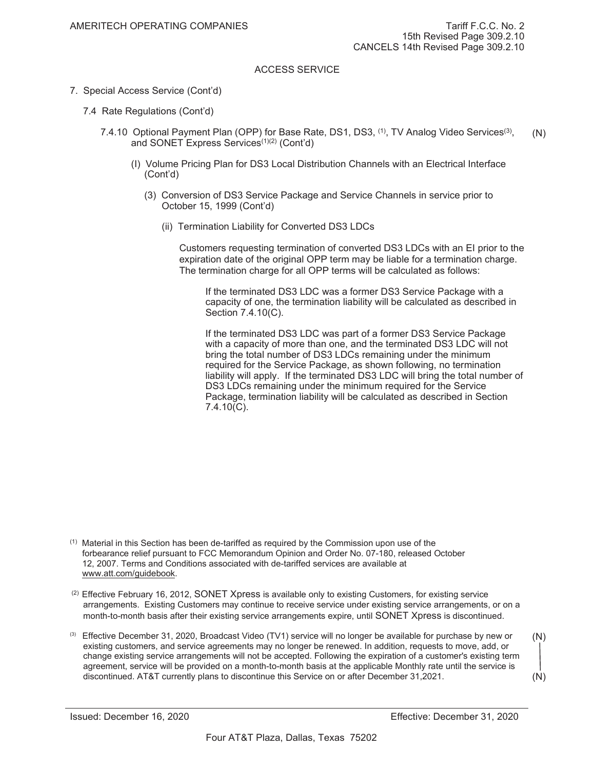- 7. Special Access Service (Cont'd)
	- 7.4 Rate Regulations (Cont'd)
		- 7.4.10 Optional Payment Plan (OPP) for Base Rate, DS1, DS3, <sup>(1)</sup>, TV Analog Video Services<sup>(3)</sup>, and SONET Express Services<sup>(1)(2)</sup> (Cont'd) (N)
			- (I) Volume Pricing Plan for DS3 Local Distribution Channels with an Electrical Interface (Cont'd)
				- (3) Conversion of DS3 Service Package and Service Channels in service prior to October 15, 1999 (Cont'd)
					- (ii) Termination Liability for Converted DS3 LDCs

Customers requesting termination of converted DS3 LDCs with an EI prior to the expiration date of the original OPP term may be liable for a termination charge. The termination charge for all OPP terms will be calculated as follows:

If the terminated DS3 LDC was a former DS3 Service Package with a capacity of one, the termination liability will be calculated as described in Section 7.4.10(C).

If the terminated DS3 LDC was part of a former DS3 Service Package with a capacity of more than one, and the terminated DS3 LDC will not bring the total number of DS3 LDCs remaining under the minimum required for the Service Package, as shown following, no termination liability will apply. If the terminated DS3 LDC will bring the total number of DS3 LDCs remaining under the minimum required for the Service Package, termination liability will be calculated as described in Section 7.4.10(C).

 $<sup>(1)</sup>$  Material in this Section has been de-tariffed as required by the Commission upon use of the</sup> forbearance relief pursuant to FCC Memorandum Opinion and Order No. 07-180, released October 12, 2007. Terms and Conditions associated with de-tariffed services are available at www.att.com/guidebook.

 $(2)$  Effective February 16, 2012, SONET Xpress is available only to existing Customers, for existing service arrangements. Existing Customers may continue to receive service under existing service arrangements, or on a month-to-month basis after their existing service arrangements expire, until SONET Xpress is discontinued.

<sup>(3)</sup> Effective December 31, 2020, Broadcast Video (TV1) service will no longer be available for purchase by new or existing customers, and service agreements may no longer be renewed. In addition, requests to move, add, or change existing service arrangements will not be accepted. Following the expiration of a customer's existing term agreement, service will be provided on a month-to-month basis at the applicable Monthly rate until the service is discontinued. AT&T currently plans to discontinue this Service on or after December 31, 2021. (N) (N)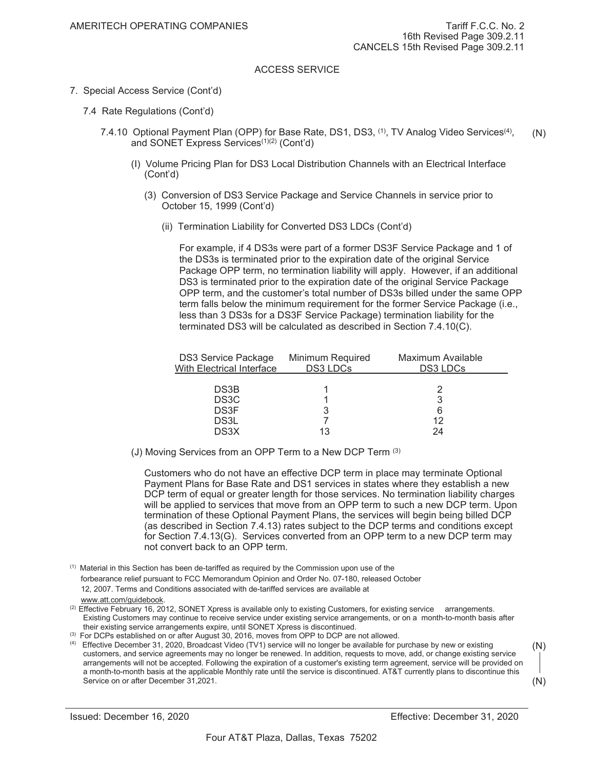- 7. Special Access Service (Cont'd)
	- 7.4 Rate Regulations (Cont'd)
		- 7.4.10 Optional Payment Plan (OPP) for Base Rate, DS1, DS3, <sup>(1)</sup>, TV Analog Video Services<sup>(4)</sup>, and SONET Express Services<sup>(1)(2)</sup> (Cont'd) (N)
			- (I) Volume Pricing Plan for DS3 Local Distribution Channels with an Electrical Interface (Cont'd)
				- (3) Conversion of DS3 Service Package and Service Channels in service prior to October 15, 1999 (Cont'd)
					- (ii) Termination Liability for Converted DS3 LDCs (Cont'd)

For example, if 4 DS3s were part of a former DS3F Service Package and 1 of the DS3s is terminated prior to the expiration date of the original Service Package OPP term, no termination liability will apply. However, if an additional DS3 is terminated prior to the expiration date of the original Service Package OPP term, and the customer's total number of DS3s billed under the same OPP term falls below the minimum requirement for the former Service Package (i.e., less than 3 DS3s for a DS3F Service Package) termination liability for the terminated DS3 will be calculated as described in Section 7.4.10(C).

| DS3 Service Package<br>With Electrical Interface | Minimum Required<br>DS3 LDCs | Maximum Available<br>DS3 LDCs |
|--------------------------------------------------|------------------------------|-------------------------------|
| DS3B                                             |                              |                               |
| DS <sub>3</sub> C                                |                              |                               |
| DS3F<br>DS3L                                     |                              | 12                            |
| DS3X                                             |                              | 24                            |

(J) Moving Services from an OPP Term to a New DCP Term (3)

 Customers who do not have an effective DCP term in place may terminate Optional Payment Plans for Base Rate and DS1 services in states where they establish a new DCP term of equal or greater length for those services. No termination liability charges will be applied to services that move from an OPP term to such a new DCP term. Upon termination of these Optional Payment Plans, the services will begin being billed DCP (as described in Section 7.4.13) rates subject to the DCP terms and conditions except for Section 7.4.13(G). Services converted from an OPP term to a new DCP term may not convert back to an OPP term.

- $<sup>(1)</sup>$  Material in this Section has been de-tariffed as required by the Commission upon use of the</sup> forbearance relief pursuant to FCC Memorandum Opinion and Order No. 07-180, released October 12, 2007. Terms and Conditions associated with de-tariffed services are available at www.att.com/guidebook.
- $(2)$  Effective February 16, 2012, SONET Xpress is available only to existing Customers, for existing service arrangements. Existing Customers may continue to receive service under existing service arrangements, or on a month-to-month basis after their existing service arrangements expire, until SONET Xpress is discontinued.
- <sup>(3)</sup> For DCPs established on or after August 30, 2016, moves from OPP to DCP are not allowed.
- (4) Effective December 31, 2020, Broadcast Video (TV1) service will no longer be available for purchase by new or existing customers, and service agreements may no longer be renewed. In addition, requests to move, add, or change existing service arrangements will not be accepted. Following the expiration of a customer's existing term agreement, service will be provided on a month-to-month basis at the applicable Monthly rate until the service is discontinued. AT&T currently plans to discontinue this Service on or after December 31, 2021. (N) (N)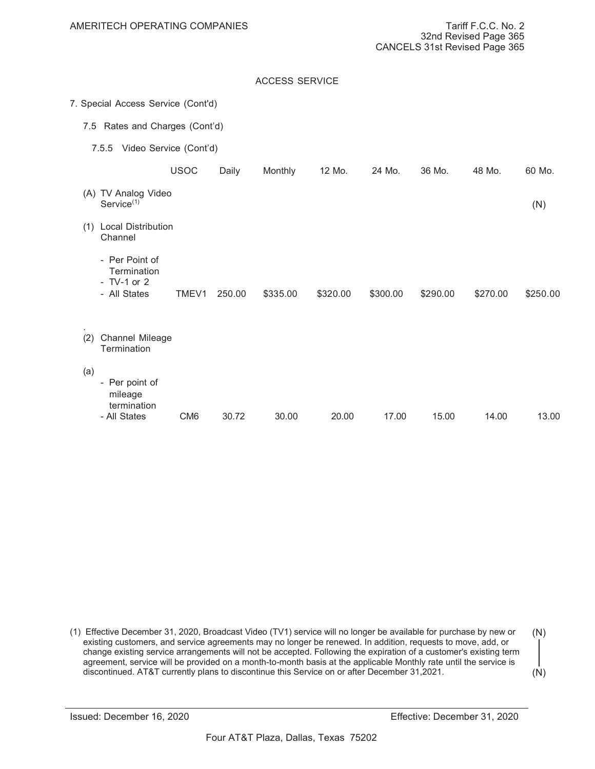|     |                                                                |                 |        | <b>ACCESS SERVICE</b> |          |          |          |          |          |
|-----|----------------------------------------------------------------|-----------------|--------|-----------------------|----------|----------|----------|----------|----------|
|     | 7. Special Access Service (Cont'd)                             |                 |        |                       |          |          |          |          |          |
| 7.5 | Rates and Charges (Cont'd)                                     |                 |        |                       |          |          |          |          |          |
|     | 7.5.5 Video Service (Cont'd)                                   |                 |        |                       |          |          |          |          |          |
|     |                                                                | <b>USOC</b>     | Daily  | Monthly               | 12 Mo.   | 24 Mo.   | 36 Mo.   | 48 Mo.   | 60 Mo.   |
|     | (A) TV Analog Video<br>Service <sup>(1)</sup>                  |                 |        |                       |          |          |          |          | (N)      |
| (1) | <b>Local Distribution</b><br>Channel                           |                 |        |                       |          |          |          |          |          |
|     | - Per Point of<br>Termination<br>$- TV-1$ or 2<br>- All States | TMEV1           | 250.00 | \$335.00              | \$320.00 | \$300.00 | \$290.00 | \$270.00 | \$250.00 |
| (2) | Channel Mileage<br>Termination                                 |                 |        |                       |          |          |          |          |          |
| (a) | - Per point of<br>mileage<br>termination<br>- All States       | CM <sub>6</sub> | 30.72  | 30.00                 | 20.00    | 17.00    | 15.00    | 14.00    | 13.00    |
|     |                                                                |                 |        |                       |          |          |          |          |          |

(1) Effective December 31, 2020, Broadcast Video (TV1) service will no longer be available for purchase by new or existing customers, and service agreements may no longer be renewed. In addition, requests to move, add, or change existing service arrangements will not be accepted. Following the expiration of a customer's existing term agreement, service will be provided on a month-to-month basis at the applicable Monthly rate until the service is discontinued. AT&T currently plans to discontinue this Service on or after December 31, 2021. (N) (N)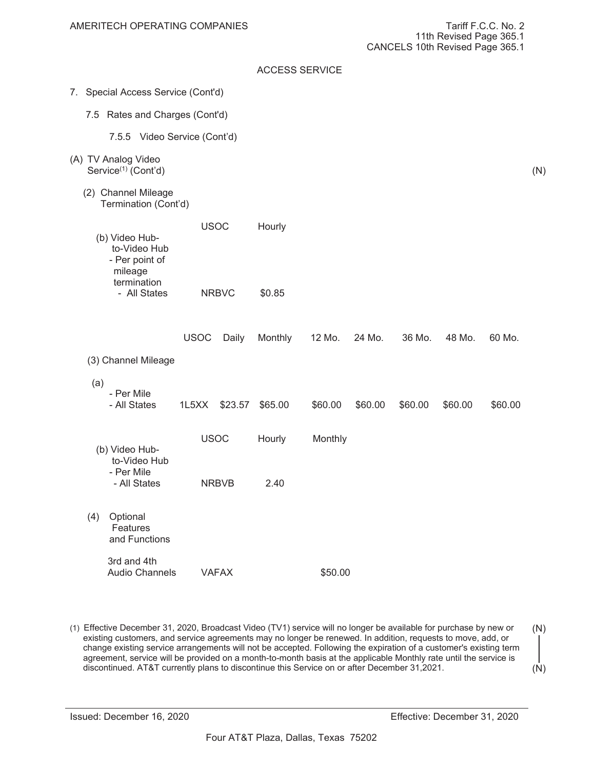(N)

# ACCESS SERVICE

- 7. Special Access Service (Cont'd)
	- 7.5 Rates and Charges (Cont'd)
		- 7.5.5 Video Service (Cont'd)
- (A) TV Analog Video Service<sup>(1)</sup> (Cont'd)
	- (2) Channel Mileage Termination (Cont'd)

|                | <b>USOC</b>  | Hourly |
|----------------|--------------|--------|
| (b) Video Hub- |              |        |
| to-Video Hub   |              |        |
| - Per point of |              |        |
| mileage        |              |        |
| termination    |              |        |
| - All States   | <b>NRBVC</b> | \$0.85 |

|     |                                       | <b>USOC</b> | Daily        | Monthly | 12 Mo.  | 24 Mo.  | 36 Mo.  | 48 Mo.  | 60 Mo.  |
|-----|---------------------------------------|-------------|--------------|---------|---------|---------|---------|---------|---------|
|     | (3) Channel Mileage                   |             |              |         |         |         |         |         |         |
| (a) | - Per Mile<br>- All States            | 1L5XX       | \$23.57      | \$65.00 | \$60.00 | \$60.00 | \$60.00 | \$60.00 | \$60.00 |
|     | (b) Video Hub-<br>to-Video Hub        | <b>USOC</b> |              | Hourly  | Monthly |         |         |         |         |
|     | - Per Mile<br>- All States            |             | <b>NRBVB</b> | 2.40    |         |         |         |         |         |
| (4) | Optional<br>Features<br>and Functions |             |              |         |         |         |         |         |         |
|     | 3rd and 4th<br><b>Audio Channels</b>  |             | <b>VAFAX</b> |         | \$50.00 |         |         |         |         |

(1) Effective December 31, 2020, Broadcast Video (TV1) service will no longer be available for purchase by new or existing customers, and service agreements may no longer be renewed. In addition, requests to move, add, or change existing service arrangements will not be accepted. Following the expiration of a customer's existing term agreement, service will be provided on a month-to-month basis at the applicable Monthly rate until the service is discontinued. AT&T currently plans to discontinue this Service on or after December 31, 2021. (N) (N)